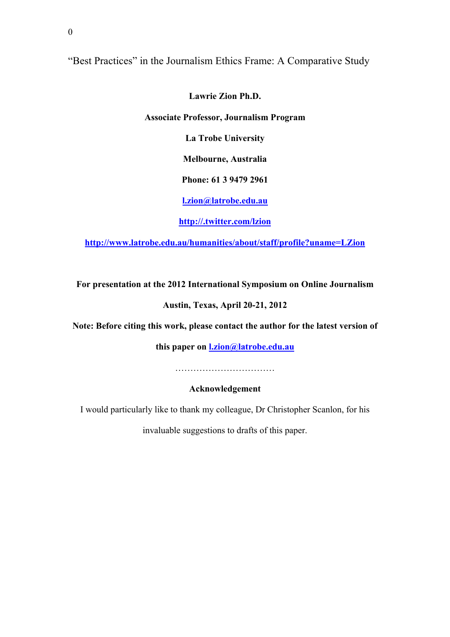"Best Practices" in the Journalism Ethics Frame: A Comparative Study

**Lawrie Zion Ph.D.**

**Associate Professor, Journalism Program**

**La Trobe University**

**Melbourne, Australia**

**Phone: 61 3 9479 2961**

**l.zion@latrobe.edu.au**

**http://.twitter.com/lzion**

**http://www.latrobe.edu.au/humanities/about/staff/profile?uname=LZion**

**For presentation at the 2012 International Symposium on Online Journalism**

# **Austin, Texas, April 20-21, 2012**

**Note: Before citing this work, please contact the author for the latest version of** 

**this paper on l.zion@latrobe.edu.au**

……………………………

**Acknowledgement**

I would particularly like to thank my colleague, Dr Christopher Scanlon, for his

invaluable suggestions to drafts of this paper.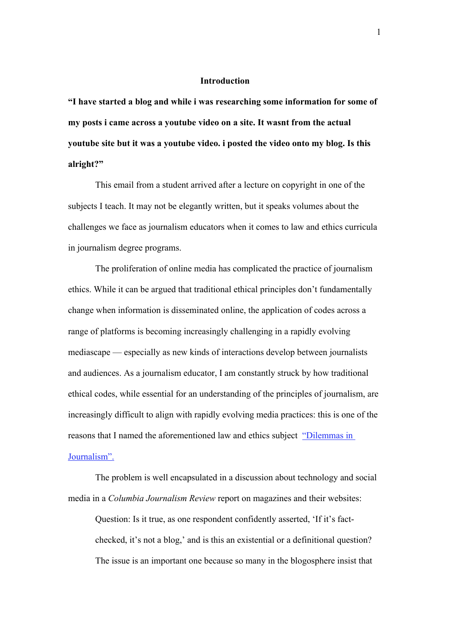### **Introduction**

**"I have started a blog and while i was researching some information for some of my posts i came across a youtube video on a site. It wasnt from the actual youtube site but it was a youtube video. i posted the video onto my blog. Is this alright?"** 

This email from a student arrived after a lecture on copyright in one of the subjects I teach. It may not be elegantly written, but it speaks volumes about the challenges we face as journalism educators when it comes to law and ethics curricula in journalism degree programs.

The proliferation of online media has complicated the practice of journalism ethics. While it can be argued that traditional ethical principles don't fundamentally change when information is disseminated online, the application of codes across a range of platforms is becoming increasingly challenging in a rapidly evolving mediascape — especially as new kinds of interactions develop between journalists and audiences. As a journalism educator, I am constantly struck by how traditional ethical codes, while essential for an understanding of the principles of journalism, are increasingly difficult to align with rapidly evolving media practices: this is one of the reasons that I named the aforementioned law and ethics subject "Dilemmas in Journalism".

The problem is well encapsulated in a discussion about technology and social media in a *Columbia Journalism Review* report on magazines and their websites:

Question: Is it true, as one respondent confidently asserted, 'If it's factchecked, it's not a blog,' and is this an existential or a definitional question? The issue is an important one because so many in the blogosphere insist that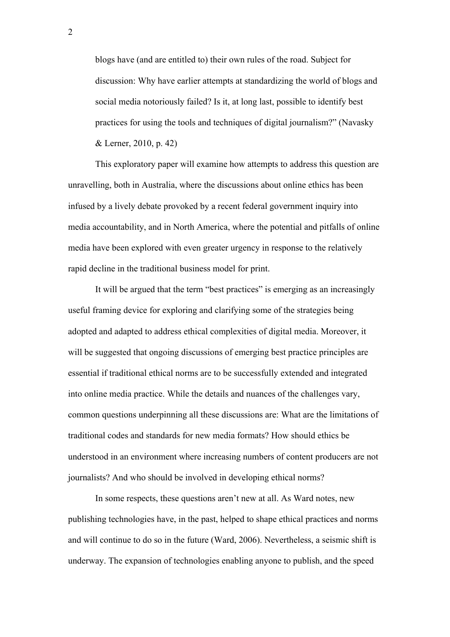blogs have (and are entitled to) their own rules of the road. Subject for discussion: Why have earlier attempts at standardizing the world of blogs and social media notoriously failed? Is it, at long last, possible to identify best practices for using the tools and techniques of digital journalism?" (Navasky & Lerner, 2010, p. 42)

This exploratory paper will examine how attempts to address this question are unravelling, both in Australia, where the discussions about online ethics has been infused by a lively debate provoked by a recent federal government inquiry into media accountability, and in North America, where the potential and pitfalls of online media have been explored with even greater urgency in response to the relatively rapid decline in the traditional business model for print.

It will be argued that the term "best practices" is emerging as an increasingly useful framing device for exploring and clarifying some of the strategies being adopted and adapted to address ethical complexities of digital media. Moreover, it will be suggested that ongoing discussions of emerging best practice principles are essential if traditional ethical norms are to be successfully extended and integrated into online media practice. While the details and nuances of the challenges vary, common questions underpinning all these discussions are: What are the limitations of traditional codes and standards for new media formats? How should ethics be understood in an environment where increasing numbers of content producers are not journalists? And who should be involved in developing ethical norms?

In some respects, these questions aren't new at all. As Ward notes, new publishing technologies have, in the past, helped to shape ethical practices and norms and will continue to do so in the future (Ward, 2006). Nevertheless, a seismic shift is underway. The expansion of technologies enabling anyone to publish, and the speed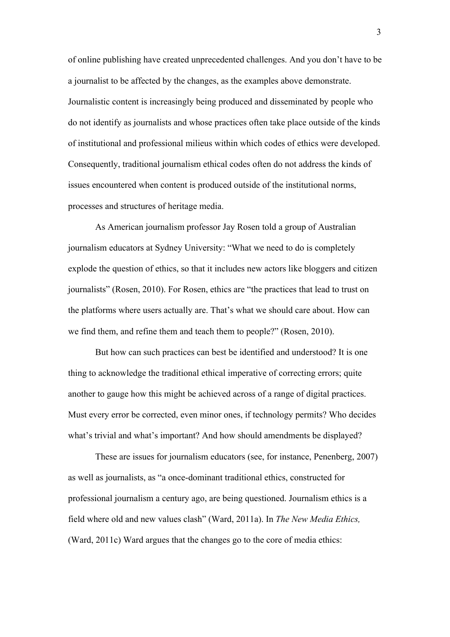of online publishing have created unprecedented challenges. And you don't have to be a journalist to be affected by the changes, as the examples above demonstrate. Journalistic content is increasingly being produced and disseminated by people who do not identify as journalists and whose practices often take place outside of the kinds of institutional and professional milieus within which codes of ethics were developed. Consequently, traditional journalism ethical codes often do not address the kinds of issues encountered when content is produced outside of the institutional norms, processes and structures of heritage media.

As American journalism professor Jay Rosen told a group of Australian journalism educators at Sydney University: "What we need to do is completely explode the question of ethics, so that it includes new actors like bloggers and citizen journalists" (Rosen, 2010). For Rosen, ethics are "the practices that lead to trust on the platforms where users actually are. That's what we should care about. How can we find them, and refine them and teach them to people?" (Rosen, 2010).

But how can such practices can best be identified and understood? It is one thing to acknowledge the traditional ethical imperative of correcting errors; quite another to gauge how this might be achieved across of a range of digital practices. Must every error be corrected, even minor ones, if technology permits? Who decides what's trivial and what's important? And how should amendments be displayed?

These are issues for journalism educators (see, for instance, Penenberg, 2007) as well as journalists, as "a once-dominant traditional ethics, constructed for professional journalism a century ago, are being questioned. Journalism ethics is a field where old and new values clash" (Ward, 2011a). In *The New Media Ethics,* (Ward, 2011c) Ward argues that the changes go to the core of media ethics: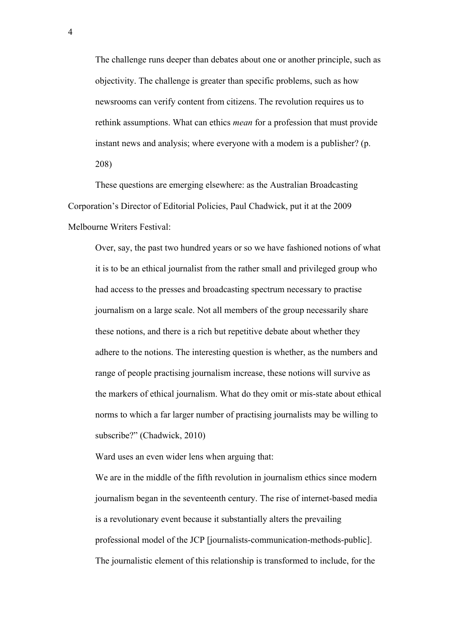The challenge runs deeper than debates about one or another principle, such as objectivity. The challenge is greater than specific problems, such as how newsrooms can verify content from citizens. The revolution requires us to rethink assumptions. What can ethics *mean* for a profession that must provide instant news and analysis; where everyone with a modem is a publisher? (p. 208)

These questions are emerging elsewhere: as the Australian Broadcasting Corporation's Director of Editorial Policies, Paul Chadwick, put it at the 2009 Melbourne Writers Festival:

Over, say, the past two hundred years or so we have fashioned notions of what it is to be an ethical journalist from the rather small and privileged group who had access to the presses and broadcasting spectrum necessary to practise journalism on a large scale. Not all members of the group necessarily share these notions, and there is a rich but repetitive debate about whether they adhere to the notions. The interesting question is whether, as the numbers and range of people practising journalism increase, these notions will survive as the markers of ethical journalism. What do they omit or mis-state about ethical norms to which a far larger number of practising journalists may be willing to subscribe?" (Chadwick, 2010)

Ward uses an even wider lens when arguing that:

We are in the middle of the fifth revolution in journalism ethics since modern journalism began in the seventeenth century. The rise of internet-based media is a revolutionary event because it substantially alters the prevailing professional model of the JCP [journalists-communication-methods-public]. The journalistic element of this relationship is transformed to include, for the

4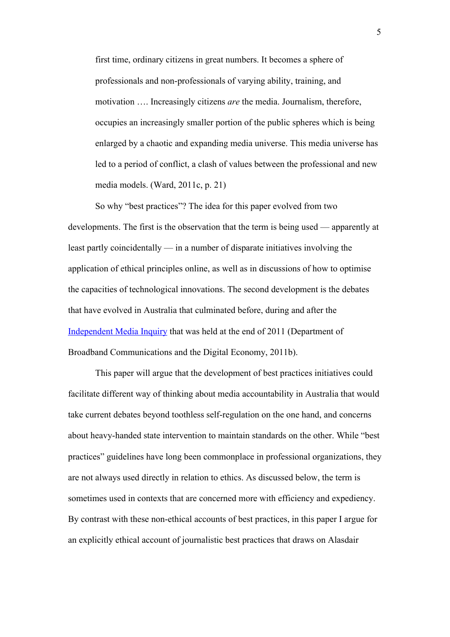first time, ordinary citizens in great numbers. It becomes a sphere of professionals and non-professionals of varying ability, training, and motivation …. Increasingly citizens *are* the media. Journalism, therefore, occupies an increasingly smaller portion of the public spheres which is being enlarged by a chaotic and expanding media universe. This media universe has led to a period of conflict, a clash of values between the professional and new media models. (Ward, 2011c, p. 21)

So why "best practices"? The idea for this paper evolved from two developments. The first is the observation that the term is being used — apparently at least partly coincidentally — in a number of disparate initiatives involving the application of ethical principles online, as well as in discussions of how to optimise the capacities of technological innovations. The second development is the debates that have evolved in Australia that culminated before, during and after the Independent Media Inquiry that was held at the end of 2011 (Department of Broadband Communications and the Digital Economy, 2011b).

This paper will argue that the development of best practices initiatives could facilitate different way of thinking about media accountability in Australia that would take current debates beyond toothless self-regulation on the one hand, and concerns about heavy-handed state intervention to maintain standards on the other. While "best practices" guidelines have long been commonplace in professional organizations, they are not always used directly in relation to ethics. As discussed below, the term is sometimes used in contexts that are concerned more with efficiency and expediency. By contrast with these non-ethical accounts of best practices, in this paper I argue for an explicitly ethical account of journalistic best practices that draws on Alasdair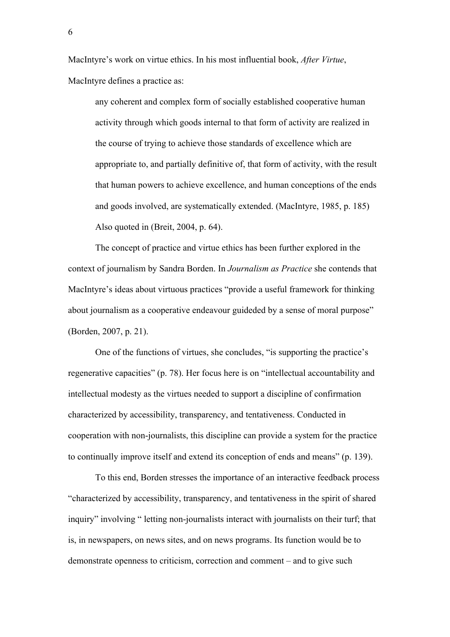MacIntyre's work on virtue ethics. In his most influential book, *After Virtue*, MacIntyre defines a practice as:

any coherent and complex form of socially established cooperative human activity through which goods internal to that form of activity are realized in the course of trying to achieve those standards of excellence which are appropriate to, and partially definitive of, that form of activity, with the result that human powers to achieve excellence, and human conceptions of the ends and goods involved, are systematically extended. (MacIntyre, 1985, p. 185) Also quoted in (Breit, 2004, p. 64).

The concept of practice and virtue ethics has been further explored in the context of journalism by Sandra Borden. In *Journalism as Practice* she contends that MacIntyre's ideas about virtuous practices "provide a useful framework for thinking about journalism as a cooperative endeavour guideded by a sense of moral purpose" (Borden, 2007, p. 21).

One of the functions of virtues, she concludes, "is supporting the practice's regenerative capacities" (p. 78). Her focus here is on "intellectual accountability and intellectual modesty as the virtues needed to support a discipline of confirmation characterized by accessibility, transparency, and tentativeness. Conducted in cooperation with non-journalists, this discipline can provide a system for the practice to continually improve itself and extend its conception of ends and means" (p. 139).

To this end, Borden stresses the importance of an interactive feedback process "characterized by accessibility, transparency, and tentativeness in the spirit of shared inquiry" involving " letting non-journalists interact with journalists on their turf; that is, in newspapers, on news sites, and on news programs. Its function would be to demonstrate openness to criticism, correction and comment – and to give such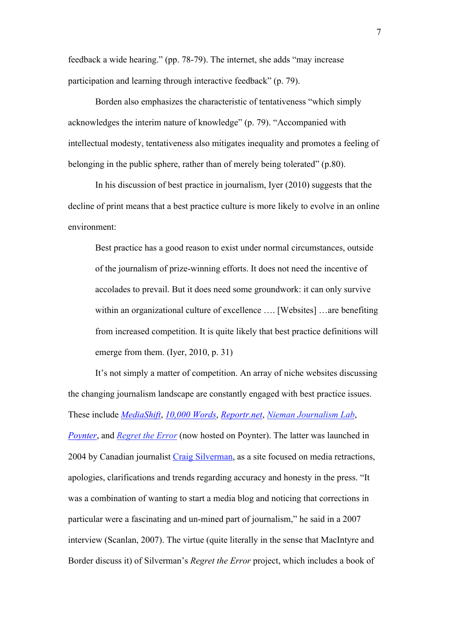feedback a wide hearing." (pp. 78-79). The internet, she adds "may increase participation and learning through interactive feedback" (p. 79).

Borden also emphasizes the characteristic of tentativeness "which simply acknowledges the interim nature of knowledge" (p. 79). "Accompanied with intellectual modesty, tentativeness also mitigates inequality and promotes a feeling of belonging in the public sphere, rather than of merely being tolerated" (p.80).

In his discussion of best practice in journalism, Iyer (2010) suggests that the decline of print means that a best practice culture is more likely to evolve in an online environment:

Best practice has a good reason to exist under normal circumstances, outside of the journalism of prize-winning efforts. It does not need the incentive of accolades to prevail. But it does need some groundwork: it can only survive within an organizational culture of excellence .... [Websites] ... are benefiting from increased competition. It is quite likely that best practice definitions will emerge from them. (Iyer, 2010, p. 31)

It's not simply a matter of competition. An array of niche websites discussing the changing journalism landscape are constantly engaged with best practice issues. These include *MediaShift*, *10,000 Words*, *Reportr.net*, *Nieman Journalism Lab*, *Poynter*, and *Regret the Error* (now hosted on Poynter). The latter was launched in 2004 by Canadian journalist Craig Silverman, as a site focused on media retractions, apologies, clarifications and trends regarding accuracy and honesty in the press. "It was a combination of wanting to start a media blog and noticing that corrections in particular were a fascinating and un-mined part of journalism," he said in a 2007 interview (Scanlan, 2007). The virtue (quite literally in the sense that MacIntyre and Border discuss it) of Silverman's *Regret the Error* project, which includes a book of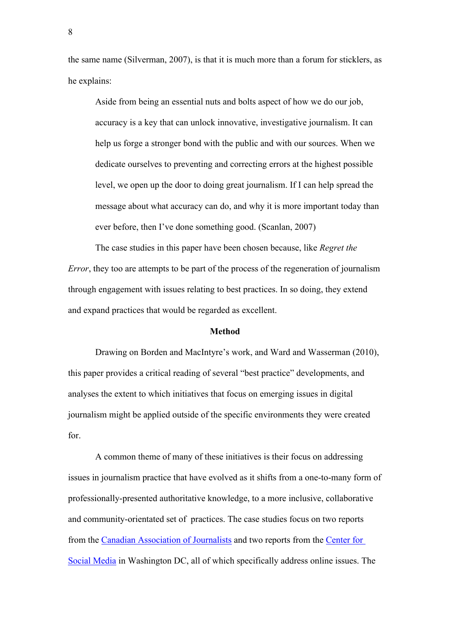the same name (Silverman, 2007), is that it is much more than a forum for sticklers, as he explains:

Aside from being an essential nuts and bolts aspect of how we do our job, accuracy is a key that can unlock innovative, investigative journalism. It can help us forge a stronger bond with the public and with our sources. When we dedicate ourselves to preventing and correcting errors at the highest possible level, we open up the door to doing great journalism. If I can help spread the message about what accuracy can do, and why it is more important today than ever before, then I've done something good. (Scanlan, 2007)

The case studies in this paper have been chosen because, like *Regret the Error*, they too are attempts to be part of the process of the regeneration of journalism through engagement with issues relating to best practices. In so doing, they extend and expand practices that would be regarded as excellent.

#### **Method**

Drawing on Borden and MacIntyre's work, and Ward and Wasserman (2010), this paper provides a critical reading of several "best practice" developments, and analyses the extent to which initiatives that focus on emerging issues in digital journalism might be applied outside of the specific environments they were created for.

A common theme of many of these initiatives is their focus on addressing issues in journalism practice that have evolved as it shifts from a one-to-many form of professionally-presented authoritative knowledge, to a more inclusive, collaborative and community-orientated set of practices. The case studies focus on two reports from the Canadian Association of Journalists and two reports from the Center for Social Media in Washington DC, all of which specifically address online issues. The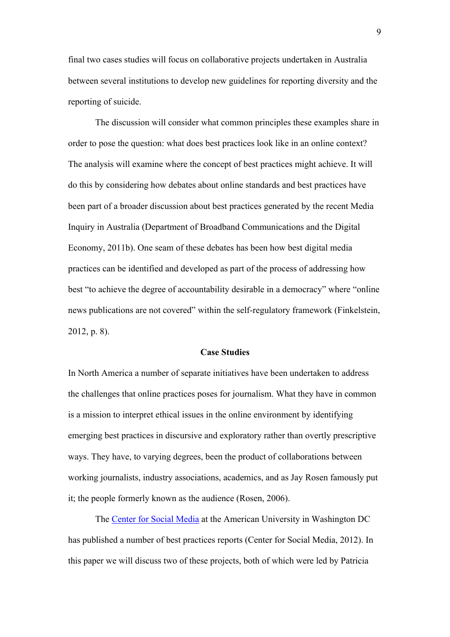final two cases studies will focus on collaborative projects undertaken in Australia between several institutions to develop new guidelines for reporting diversity and the reporting of suicide.

The discussion will consider what common principles these examples share in order to pose the question: what does best practices look like in an online context? The analysis will examine where the concept of best practices might achieve. It will do this by considering how debates about online standards and best practices have been part of a broader discussion about best practices generated by the recent Media Inquiry in Australia (Department of Broadband Communications and the Digital Economy, 2011b). One seam of these debates has been how best digital media practices can be identified and developed as part of the process of addressing how best "to achieve the degree of accountability desirable in a democracy" where "online news publications are not covered" within the self-regulatory framework (Finkelstein, 2012, p. 8).

### **Case Studies**

In North America a number of separate initiatives have been undertaken to address the challenges that online practices poses for journalism. What they have in common is a mission to interpret ethical issues in the online environment by identifying emerging best practices in discursive and exploratory rather than overtly prescriptive ways. They have, to varying degrees, been the product of collaborations between working journalists, industry associations, academics, and as Jay Rosen famously put it; the people formerly known as the audience (Rosen, 2006).

The Center for Social Media at the American University in Washington DC has published a number of best practices reports (Center for Social Media, 2012). In this paper we will discuss two of these projects, both of which were led by Patricia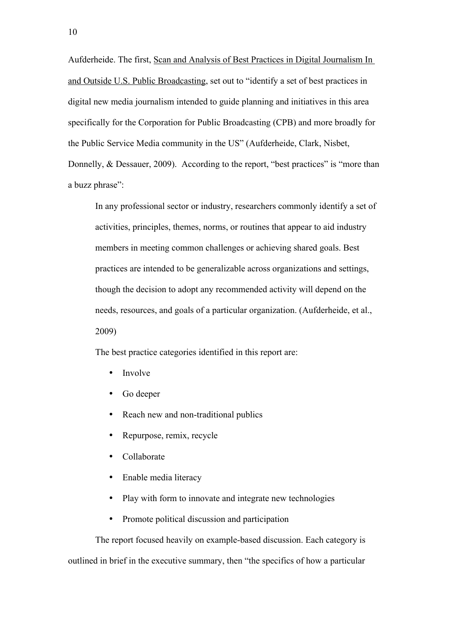Aufderheide. The first, Scan and Analysis of Best Practices in Digital Journalism In and Outside U.S. Public Broadcasting, set out to "identify a set of best practices in digital new media journalism intended to guide planning and initiatives in this area specifically for the Corporation for Public Broadcasting (CPB) and more broadly for the Public Service Media community in the US" (Aufderheide, Clark, Nisbet, Donnelly, & Dessauer, 2009). According to the report, "best practices" is "more than a buzz phrase":

In any professional sector or industry, researchers commonly identify a set of activities, principles, themes, norms, or routines that appear to aid industry members in meeting common challenges or achieving shared goals. Best practices are intended to be generalizable across organizations and settings, though the decision to adopt any recommended activity will depend on the needs, resources, and goals of a particular organization. (Aufderheide, et al., 2009)

The best practice categories identified in this report are:

- Involve
- Go deeper
- Reach new and non-traditional publics
- Repurpose, remix, recycle
- Collaborate
- Enable media literacy
- Play with form to innovate and integrate new technologies
- Promote political discussion and participation

The report focused heavily on example-based discussion. Each category is outlined in brief in the executive summary, then "the specifics of how a particular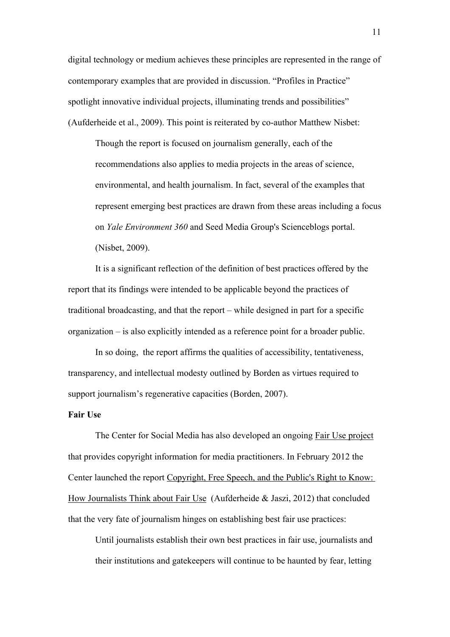digital technology or medium achieves these principles are represented in the range of contemporary examples that are provided in discussion. "Profiles in Practice" spotlight innovative individual projects, illuminating trends and possibilities" (Aufderheide et al., 2009). This point is reiterated by co-author Matthew Nisbet:

Though the report is focused on journalism generally, each of the recommendations also applies to media projects in the areas of science, environmental, and health journalism. In fact, several of the examples that represent emerging best practices are drawn from these areas including a focus on *Yale Environment 360* and Seed Media Group's Scienceblogs portal. (Nisbet, 2009).

It is a significant reflection of the definition of best practices offered by the report that its findings were intended to be applicable beyond the practices of traditional broadcasting, and that the report – while designed in part for a specific organization – is also explicitly intended as a reference point for a broader public.

In so doing, the report affirms the qualities of accessibility, tentativeness, transparency, and intellectual modesty outlined by Borden as virtues required to support journalism's regenerative capacities (Borden, 2007).

## **Fair Use**

The Center for Social Media has also developed an ongoing Fair Use project that provides copyright information for media practitioners. In February 2012 the Center launched the report Copyright, Free Speech, and the Public's Right to Know: How Journalists Think about Fair Use (Aufderheide & Jaszi, 2012) that concluded that the very fate of journalism hinges on establishing best fair use practices:

Until journalists establish their own best practices in fair use, journalists and their institutions and gatekeepers will continue to be haunted by fear, letting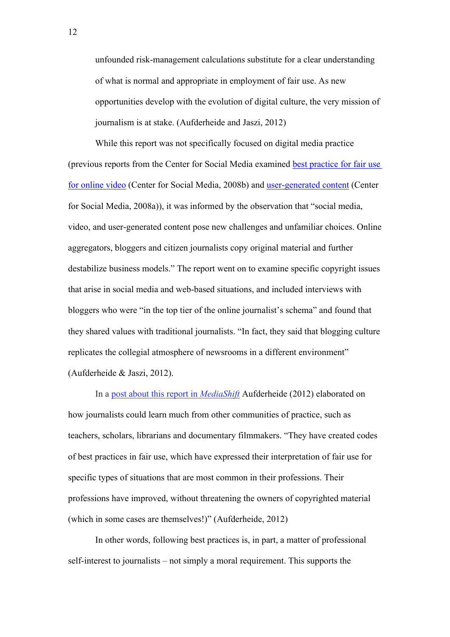unfounded risk-management calculations substitute for a clear understanding of what is normal and appropriate in employment of fair use. As new opportunities develop with the evolution of digital culture, the very mission of journalism is at stake. (Aufderheide and Jaszi, 2012)

While this report was not specifically focused on digital media practice (previous reports from the Center for Social Media examined best practice for fair use for online video (Center for Social Media, 2008b) and user-generated content (Center for Social Media, 2008a)), it was informed by the observation that "social media, video, and user-generated content pose new challenges and unfamiliar choices. Online aggregators, bloggers and citizen journalists copy original material and further destabilize business models." The report went on to examine specific copyright issues that arise in social media and web-based situations, and included interviews with bloggers who were "in the top tier of the online journalist's schema" and found that they shared values with traditional journalists. "In fact, they said that blogging culture replicates the collegial atmosphere of newsrooms in a different environment" (Aufderheide & Jaszi, 2012).

In a post about this report in *MediaShift* Aufderheide (2012) elaborated on how journalists could learn much from other communities of practice, such as teachers, scholars, librarians and documentary filmmakers. "They have created codes of best practices in fair use, which have expressed their interpretation of fair use for specific types of situations that are most common in their professions. Their professions have improved, without threatening the owners of copyrighted material (which in some cases are themselves!)" (Aufderheide, 2012)

In other words, following best practices is, in part, a matter of professional self-interest to journalists – not simply a moral requirement. This supports the

12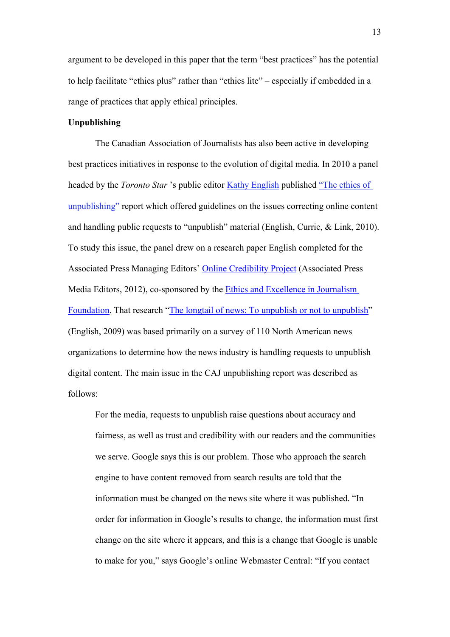argument to be developed in this paper that the term "best practices" has the potential to help facilitate "ethics plus" rather than "ethics lite" – especially if embedded in a range of practices that apply ethical principles.

## **Unpublishing**

The Canadian Association of Journalists has also been active in developing best practices initiatives in response to the evolution of digital media. In 2010 a panel headed by the *Toronto Star* 's public editor Kathy English published "The ethics of unpublishing" report which offered guidelines on the issues correcting online content and handling public requests to "unpublish" material (English, Currie, & Link, 2010). To study this issue, the panel drew on a research paper English completed for the Associated Press Managing Editors' Online Credibility Project (Associated Press Media Editors, 2012), co-sponsored by the Ethics and Excellence in Journalism Foundation. That research "The longtail of news: To unpublish or not to unpublish" (English, 2009) was based primarily on a survey of 110 North American news organizations to determine how the news industry is handling requests to unpublish digital content. The main issue in the CAJ unpublishing report was described as follows:

For the media, requests to unpublish raise questions about accuracy and fairness, as well as trust and credibility with our readers and the communities we serve. Google says this is our problem. Those who approach the search engine to have content removed from search results are told that the information must be changed on the news site where it was published. "In order for information in Google's results to change, the information must first change on the site where it appears, and this is a change that Google is unable to make for you," says Google's online Webmaster Central: "If you contact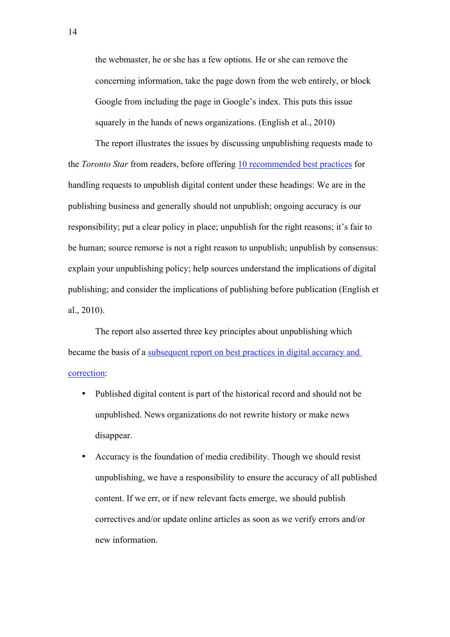the webmaster, he or she has a few options. He or she can remove the concerning information, take the page down from the web entirely, or block Google from including the page in Google's index. This puts this issue squarely in the hands of news organizations. (English et al., 2010)

The report illustrates the issues by discussing unpublishing requests made to the *Toronto Star* from readers, before offering 10 recommended best practices for handling requests to unpublish digital content under these headings: We are in the publishing business and generally should not unpublish; ongoing accuracy is our responsibility; put a clear policy in place; unpublish for the right reasons; it's fair to be human; source remorse is not a right reason to unpublish; unpublish by consensus: explain your unpublishing policy; help sources understand the implications of digital publishing; and consider the implications of publishing before publication (English et al., 2010).

The report also asserted three key principles about unpublishing which became the basis of a subsequent report on best practices in digital accuracy and correction:

- Published digital content is part of the historical record and should not be unpublished. News organizations do not rewrite history or make news disappear.
- Accuracy is the foundation of media credibility. Though we should resist unpublishing, we have a responsibility to ensure the accuracy of all published content. If we err, or if new relevant facts emerge, we should publish correctives and/or update online articles as soon as we verify errors and/or new information.

14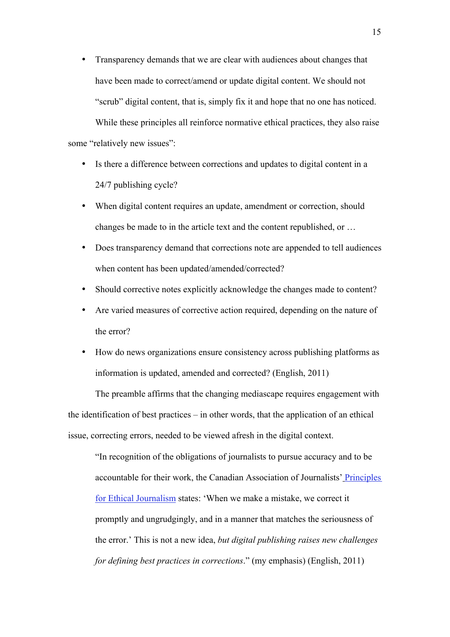- Transparency demands that we are clear with audiences about changes that have been made to correct/amend or update digital content. We should not "scrub" digital content, that is, simply fix it and hope that no one has noticed. While these principles all reinforce normative ethical practices, they also raise some "relatively new issues":
	- Is there a difference between corrections and updates to digital content in a 24/7 publishing cycle?
	- When digital content requires an update, amendment or correction, should changes be made to in the article text and the content republished, or …
	- Does transparency demand that corrections note are appended to tell audiences when content has been updated/amended/corrected?
	- Should corrective notes explicitly acknowledge the changes made to content?
	- Are varied measures of corrective action required, depending on the nature of the error?
	- How do news organizations ensure consistency across publishing platforms as information is updated, amended and corrected? (English, 2011)

The preamble affirms that the changing mediascape requires engagement with the identification of best practices – in other words, that the application of an ethical issue, correcting errors, needed to be viewed afresh in the digital context.

"In recognition of the obligations of journalists to pursue accuracy and to be accountable for their work, the Canadian Association of Journalists' Principles for Ethical Journalism states: 'When we make a mistake, we correct it promptly and ungrudgingly, and in a manner that matches the seriousness of the error.' This is not a new idea, *but digital publishing raises new challenges for defining best practices in corrections*." (my emphasis) (English, 2011)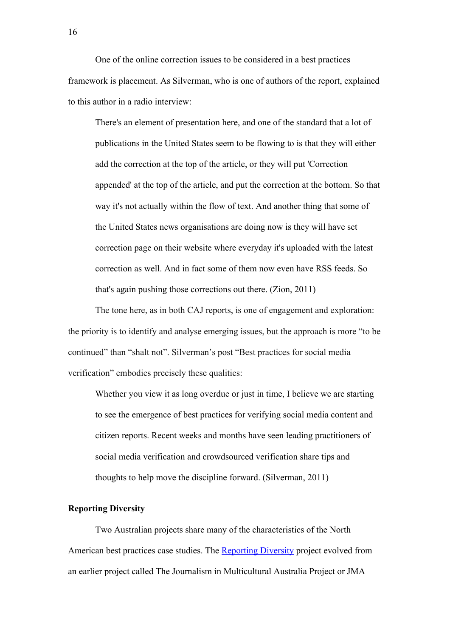One of the online correction issues to be considered in a best practices framework is placement. As Silverman, who is one of authors of the report, explained to this author in a radio interview:

There's an element of presentation here, and one of the standard that a lot of publications in the United States seem to be flowing to is that they will either add the correction at the top of the article, or they will put 'Correction appended' at the top of the article, and put the correction at the bottom. So that way it's not actually within the flow of text. And another thing that some of the United States news organisations are doing now is they will have set correction page on their website where everyday it's uploaded with the latest correction as well. And in fact some of them now even have RSS feeds. So that's again pushing those corrections out there. (Zion, 2011)

The tone here, as in both CAJ reports, is one of engagement and exploration: the priority is to identify and analyse emerging issues, but the approach is more "to be continued" than "shalt not". Silverman's post "Best practices for social media verification" embodies precisely these qualities:

Whether you view it as long overdue or just in time, I believe we are starting to see the emergence of best practices for verifying social media content and citizen reports. Recent weeks and months have seen leading practitioners of social media verification and crowdsourced verification share tips and thoughts to help move the discipline forward. (Silverman, 2011)

# **Reporting Diversity**

Two Australian projects share many of the characteristics of the North American best practices case studies. The Reporting Diversity project evolved from an earlier project called The Journalism in Multicultural Australia Project or JMA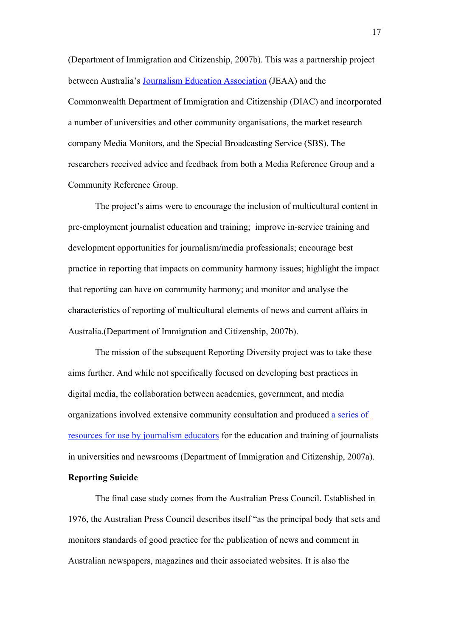(Department of Immigration and Citizenship, 2007b). This was a partnership project between Australia's Journalism Education Association (JEAA) and the Commonwealth Department of Immigration and Citizenship (DIAC) and incorporated a number of universities and other community organisations, the market research company Media Monitors, and the Special Broadcasting Service (SBS). The researchers received advice and feedback from both a Media Reference Group and a Community Reference Group.

The project's aims were to encourage the inclusion of multicultural content in pre-employment journalist education and training; improve in-service training and development opportunities for journalism/media professionals; encourage best practice in reporting that impacts on community harmony issues; highlight the impact that reporting can have on community harmony; and monitor and analyse the characteristics of reporting of multicultural elements of news and current affairs in Australia.(Department of Immigration and Citizenship, 2007b).

The mission of the subsequent Reporting Diversity project was to take these aims further. And while not specifically focused on developing best practices in digital media, the collaboration between academics, government, and media organizations involved extensive community consultation and produced a series of resources for use by journalism educators for the education and training of journalists in universities and newsrooms (Department of Immigration and Citizenship, 2007a).

## **Reporting Suicide**

The final case study comes from the Australian Press Council. Established in 1976, the Australian Press Council describes itself "as the principal body that sets and monitors standards of good practice for the publication of news and comment in Australian newspapers, magazines and their associated websites. It is also the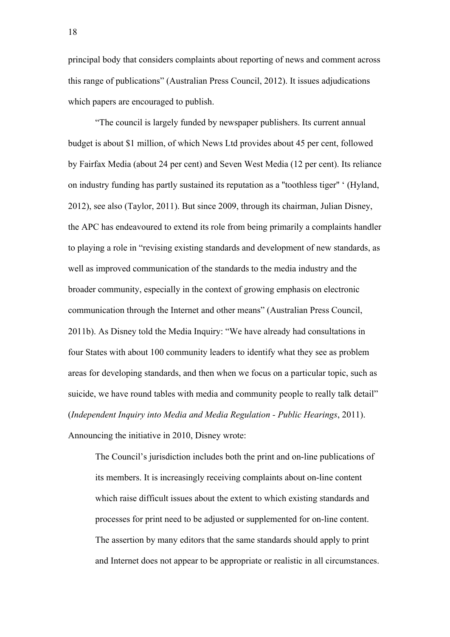principal body that considers complaints about reporting of news and comment across this range of publications" (Australian Press Council, 2012). It issues adjudications which papers are encouraged to publish.

"The council is largely funded by newspaper publishers. Its current annual budget is about \$1 million, of which News Ltd provides about 45 per cent, followed by Fairfax Media (about 24 per cent) and Seven West Media (12 per cent). Its reliance on industry funding has partly sustained its reputation as a ''toothless tiger'' ' (Hyland, 2012), see also (Taylor, 2011). But since 2009, through its chairman, Julian Disney, the APC has endeavoured to extend its role from being primarily a complaints handler to playing a role in "revising existing standards and development of new standards, as well as improved communication of the standards to the media industry and the broader community, especially in the context of growing emphasis on electronic communication through the Internet and other means" (Australian Press Council, 2011b). As Disney told the Media Inquiry: "We have already had consultations in four States with about 100 community leaders to identify what they see as problem areas for developing standards, and then when we focus on a particular topic, such as suicide, we have round tables with media and community people to really talk detail" (*Independent Inquiry into Media and Media Regulation - Public Hearings*, 2011).

Announcing the initiative in 2010, Disney wrote:

The Council's jurisdiction includes both the print and on-line publications of its members. It is increasingly receiving complaints about on-line content which raise difficult issues about the extent to which existing standards and processes for print need to be adjusted or supplemented for on-line content. The assertion by many editors that the same standards should apply to print and Internet does not appear to be appropriate or realistic in all circumstances.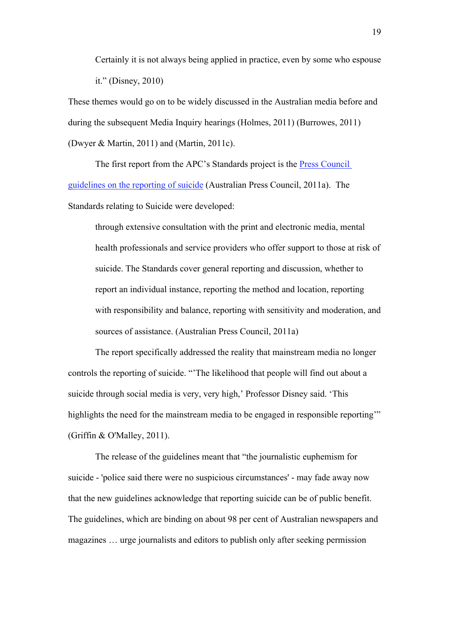Certainly it is not always being applied in practice, even by some who espouse it." (Disney, 2010)

These themes would go on to be widely discussed in the Australian media before and during the subsequent Media Inquiry hearings (Holmes, 2011) (Burrowes, 2011) (Dwyer & Martin, 2011) and (Martin, 2011c).

The first report from the APC's Standards project is the Press Council guidelines on the reporting of suicide (Australian Press Council, 2011a). The Standards relating to Suicide were developed:

through extensive consultation with the print and electronic media, mental health professionals and service providers who offer support to those at risk of suicide. The Standards cover general reporting and discussion, whether to report an individual instance, reporting the method and location, reporting with responsibility and balance, reporting with sensitivity and moderation, and sources of assistance. (Australian Press Council, 2011a)

The report specifically addressed the reality that mainstream media no longer controls the reporting of suicide. "'The likelihood that people will find out about a suicide through social media is very, very high,' Professor Disney said. 'This highlights the need for the mainstream media to be engaged in responsible reporting" (Griffin & O'Malley, 2011).

The release of the guidelines meant that "the journalistic euphemism for suicide - 'police said there were no suspicious circumstances' - may fade away now that the new guidelines acknowledge that reporting suicide can be of public benefit. The guidelines, which are binding on about 98 per cent of Australian newspapers and magazines … urge journalists and editors to publish only after seeking permission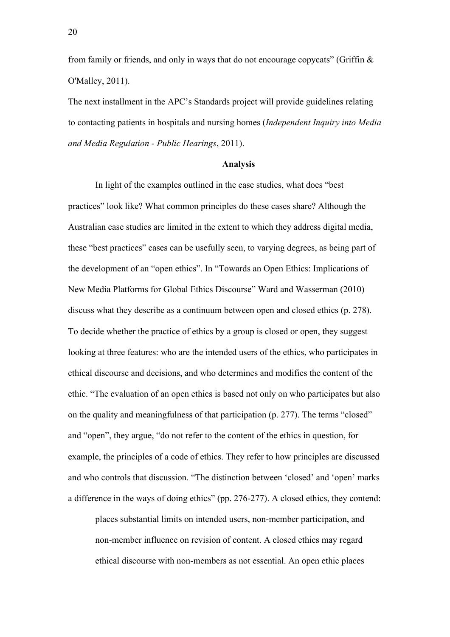from family or friends, and only in ways that do not encourage copycats" (Griffin  $\&$ O'Malley, 2011).

The next installment in the APC's Standards project will provide guidelines relating to contacting patients in hospitals and nursing homes (*Independent Inquiry into Media and Media Regulation - Public Hearings*, 2011).

### **Analysis**

In light of the examples outlined in the case studies, what does "best practices" look like? What common principles do these cases share? Although the Australian case studies are limited in the extent to which they address digital media, these "best practices" cases can be usefully seen, to varying degrees, as being part of the development of an "open ethics". In "Towards an Open Ethics: Implications of New Media Platforms for Global Ethics Discourse" Ward and Wasserman (2010) discuss what they describe as a continuum between open and closed ethics (p. 278). To decide whether the practice of ethics by a group is closed or open, they suggest looking at three features: who are the intended users of the ethics, who participates in ethical discourse and decisions, and who determines and modifies the content of the ethic. "The evaluation of an open ethics is based not only on who participates but also on the quality and meaningfulness of that participation (p. 277). The terms "closed" and "open", they argue, "do not refer to the content of the ethics in question, for example, the principles of a code of ethics. They refer to how principles are discussed and who controls that discussion. "The distinction between 'closed' and 'open' marks a difference in the ways of doing ethics" (pp. 276-277). A closed ethics, they contend:

places substantial limits on intended users, non-member participation, and non-member influence on revision of content. A closed ethics may regard ethical discourse with non-members as not essential. An open ethic places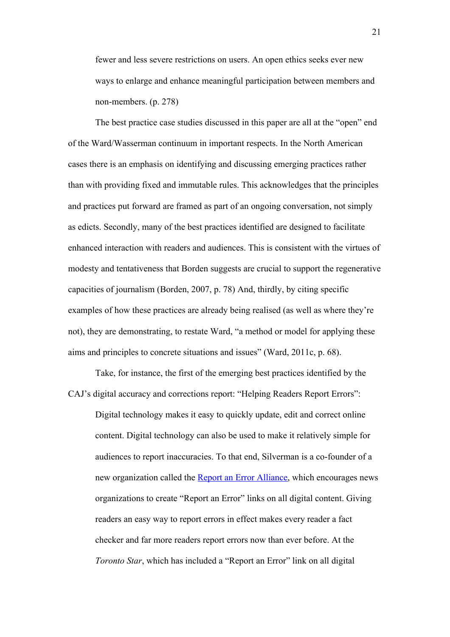fewer and less severe restrictions on users. An open ethics seeks ever new ways to enlarge and enhance meaningful participation between members and non-members. (p. 278)

The best practice case studies discussed in this paper are all at the "open" end of the Ward/Wasserman continuum in important respects. In the North American cases there is an emphasis on identifying and discussing emerging practices rather than with providing fixed and immutable rules. This acknowledges that the principles and practices put forward are framed as part of an ongoing conversation, not simply as edicts. Secondly, many of the best practices identified are designed to facilitate enhanced interaction with readers and audiences. This is consistent with the virtues of modesty and tentativeness that Borden suggests are crucial to support the regenerative capacities of journalism (Borden, 2007, p. 78) And, thirdly, by citing specific examples of how these practices are already being realised (as well as where they're not), they are demonstrating, to restate Ward, "a method or model for applying these aims and principles to concrete situations and issues" (Ward, 2011c, p. 68).

Take, for instance, the first of the emerging best practices identified by the CAJ's digital accuracy and corrections report: "Helping Readers Report Errors":

Digital technology makes it easy to quickly update, edit and correct online content. Digital technology can also be used to make it relatively simple for audiences to report inaccuracies. To that end, Silverman is a co-founder of a new organization called the Report an Error Alliance, which encourages news organizations to create "Report an Error" links on all digital content. Giving readers an easy way to report errors in effect makes every reader a fact checker and far more readers report errors now than ever before. At the *Toronto Star*, which has included a "Report an Error" link on all digital

21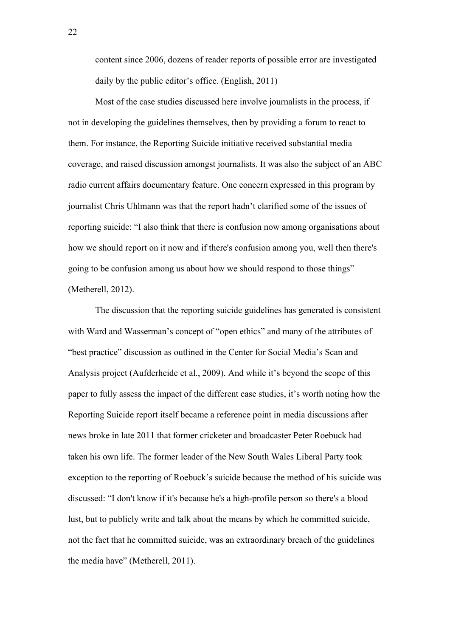content since 2006, dozens of reader reports of possible error are investigated daily by the public editor's office. (English, 2011)

Most of the case studies discussed here involve journalists in the process, if not in developing the guidelines themselves, then by providing a forum to react to them. For instance, the Reporting Suicide initiative received substantial media coverage, and raised discussion amongst journalists. It was also the subject of an ABC radio current affairs documentary feature. One concern expressed in this program by journalist Chris Uhlmann was that the report hadn't clarified some of the issues of reporting suicide: "I also think that there is confusion now among organisations about how we should report on it now and if there's confusion among you, well then there's going to be confusion among us about how we should respond to those things" (Metherell, 2012).

The discussion that the reporting suicide guidelines has generated is consistent with Ward and Wasserman's concept of "open ethics" and many of the attributes of "best practice" discussion as outlined in the Center for Social Media's Scan and Analysis project (Aufderheide et al., 2009). And while it's beyond the scope of this paper to fully assess the impact of the different case studies, it's worth noting how the Reporting Suicide report itself became a reference point in media discussions after news broke in late 2011 that former cricketer and broadcaster Peter Roebuck had taken his own life. The former leader of the New South Wales Liberal Party took exception to the reporting of Roebuck's suicide because the method of his suicide was discussed: "I don't know if it's because he's a high-profile person so there's a blood lust, but to publicly write and talk about the means by which he committed suicide, not the fact that he committed suicide, was an extraordinary breach of the guidelines the media have" (Metherell, 2011).

22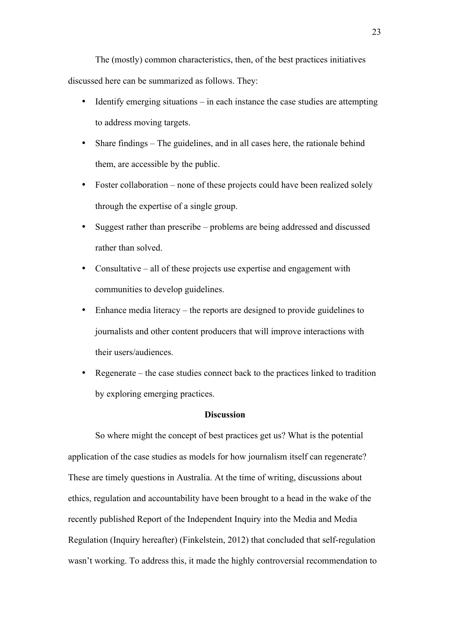The (mostly) common characteristics, then, of the best practices initiatives discussed here can be summarized as follows. They:

- Identify emerging situations  $-\text{ in each instance the case studies are attempting.}$ to address moving targets.
- Share findings The guidelines, and in all cases here, the rationale behind them, are accessible by the public.
- Foster collaboration none of these projects could have been realized solely through the expertise of a single group.
- Suggest rather than prescribe problems are being addressed and discussed rather than solved.
- Consultative all of these projects use expertise and engagement with communities to develop guidelines.
- Enhance media literacy the reports are designed to provide guidelines to journalists and other content producers that will improve interactions with their users/audiences.
- Regenerate the case studies connect back to the practices linked to tradition by exploring emerging practices.

## **Discussion**

So where might the concept of best practices get us? What is the potential application of the case studies as models for how journalism itself can regenerate? These are timely questions in Australia. At the time of writing, discussions about ethics, regulation and accountability have been brought to a head in the wake of the recently published Report of the Independent Inquiry into the Media and Media Regulation (Inquiry hereafter) (Finkelstein, 2012) that concluded that self-regulation wasn't working. To address this, it made the highly controversial recommendation to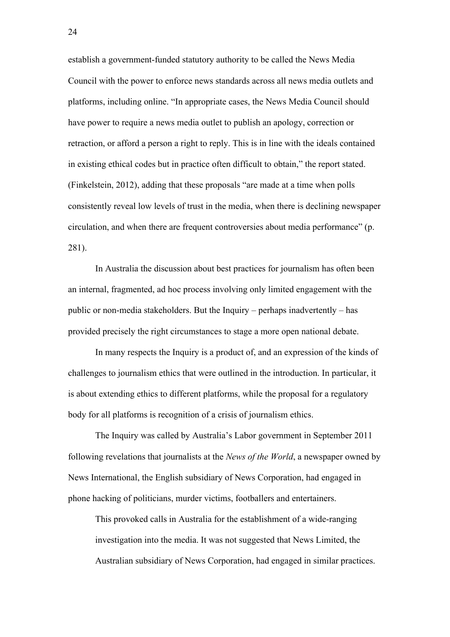establish a government-funded statutory authority to be called the News Media Council with the power to enforce news standards across all news media outlets and platforms, including online. "In appropriate cases, the News Media Council should have power to require a news media outlet to publish an apology, correction or retraction, or afford a person a right to reply. This is in line with the ideals contained in existing ethical codes but in practice often difficult to obtain," the report stated. (Finkelstein, 2012), adding that these proposals "are made at a time when polls consistently reveal low levels of trust in the media, when there is declining newspaper circulation, and when there are frequent controversies about media performance" (p. 281).

In Australia the discussion about best practices for journalism has often been an internal, fragmented, ad hoc process involving only limited engagement with the public or non-media stakeholders. But the Inquiry – perhaps inadvertently – has provided precisely the right circumstances to stage a more open national debate.

In many respects the Inquiry is a product of, and an expression of the kinds of challenges to journalism ethics that were outlined in the introduction. In particular, it is about extending ethics to different platforms, while the proposal for a regulatory body for all platforms is recognition of a crisis of journalism ethics.

The Inquiry was called by Australia's Labor government in September 2011 following revelations that journalists at the *News of the World*, a newspaper owned by News International, the English subsidiary of News Corporation, had engaged in phone hacking of politicians, murder victims, footballers and entertainers.

This provoked calls in Australia for the establishment of a wide-ranging investigation into the media. It was not suggested that News Limited, the Australian subsidiary of News Corporation, had engaged in similar practices.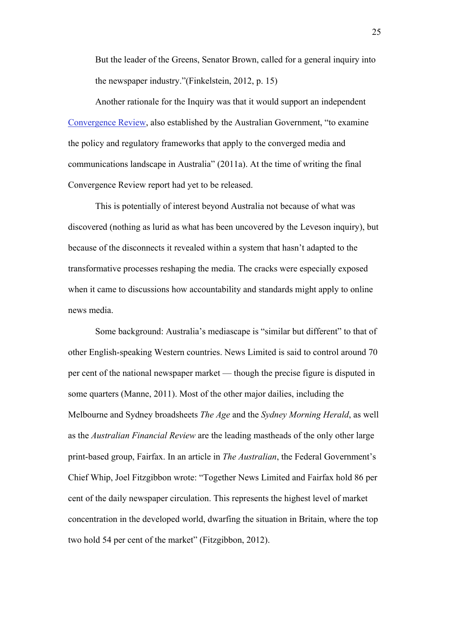But the leader of the Greens, Senator Brown, called for a general inquiry into the newspaper industry."(Finkelstein, 2012, p. 15)

Another rationale for the Inquiry was that it would support an independent Convergence Review, also established by the Australian Government, "to examine the policy and regulatory frameworks that apply to the converged media and communications landscape in Australia" (2011a). At the time of writing the final Convergence Review report had yet to be released.

This is potentially of interest beyond Australia not because of what was discovered (nothing as lurid as what has been uncovered by the Leveson inquiry), but because of the disconnects it revealed within a system that hasn't adapted to the transformative processes reshaping the media. The cracks were especially exposed when it came to discussions how accountability and standards might apply to online news media.

Some background: Australia's mediascape is "similar but different" to that of other English-speaking Western countries. News Limited is said to control around 70 per cent of the national newspaper market — though the precise figure is disputed in some quarters (Manne, 2011). Most of the other major dailies, including the Melbourne and Sydney broadsheets *The Age* and the *Sydney Morning Herald*, as well as the *Australian Financial Review* are the leading mastheads of the only other large print-based group, Fairfax. In an article in *The Australian*, the Federal Government's Chief Whip, Joel Fitzgibbon wrote: "Together News Limited and Fairfax hold 86 per cent of the daily newspaper circulation. This represents the highest level of market concentration in the developed world, dwarfing the situation in Britain, where the top two hold 54 per cent of the market" (Fitzgibbon, 2012).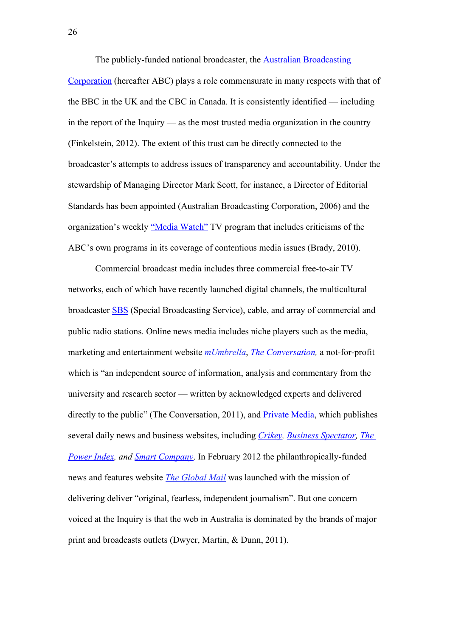The publicly-funded national broadcaster, the Australian Broadcasting Corporation (hereafter ABC) plays a role commensurate in many respects with that of the BBC in the UK and the CBC in Canada. It is consistently identified — including in the report of the Inquiry — as the most trusted media organization in the country (Finkelstein, 2012). The extent of this trust can be directly connected to the broadcaster's attempts to address issues of transparency and accountability. Under the stewardship of Managing Director Mark Scott, for instance, a Director of Editorial Standards has been appointed (Australian Broadcasting Corporation, 2006) and the organization's weekly "Media Watch" TV program that includes criticisms of the ABC's own programs in its coverage of contentious media issues (Brady, 2010).

Commercial broadcast media includes three commercial free-to-air TV networks, each of which have recently launched digital channels, the multicultural broadcaster SBS (Special Broadcasting Service), cable, and array of commercial and public radio stations. Online news media includes niche players such as the media, marketing and entertainment website *mUmbrella*, *The Conversation,* a not-for-profit which is "an independent source of information, analysis and commentary from the university and research sector — written by acknowledged experts and delivered directly to the public" (The Conversation, 2011), and Private Media, which publishes several daily news and business websites, including *Crikey, Business Spectator, The Power Index, and Smart Company*. In February 2012 the philanthropically-funded news and features website *The Global Mail* was launched with the mission of delivering deliver "original, fearless, independent journalism". But one concern voiced at the Inquiry is that the web in Australia is dominated by the brands of major print and broadcasts outlets (Dwyer, Martin, & Dunn, 2011).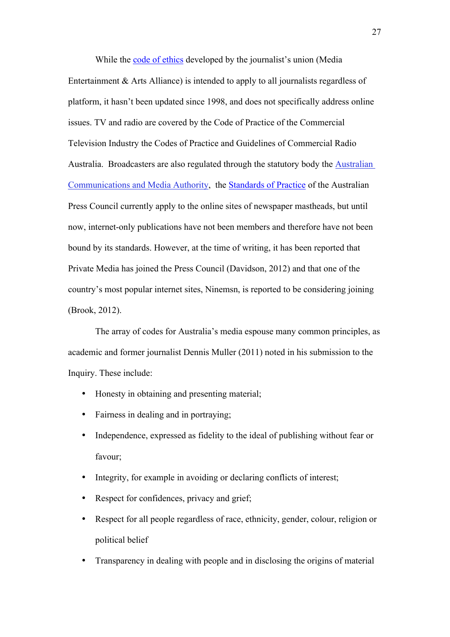While the code of ethics developed by the journalist's union (Media Entertainment & Arts Alliance) is intended to apply to all journalists regardless of platform, it hasn't been updated since 1998, and does not specifically address online issues. TV and radio are covered by the Code of Practice of the Commercial Television Industry the Codes of Practice and Guidelines of Commercial Radio Australia. Broadcasters are also regulated through the statutory body the Australian Communications and Media Authority, the Standards of Practice of the Australian Press Council currently apply to the online sites of newspaper mastheads, but until now, internet-only publications have not been members and therefore have not been bound by its standards. However, at the time of writing, it has been reported that Private Media has joined the Press Council (Davidson, 2012) and that one of the country's most popular internet sites, Ninemsn, is reported to be considering joining (Brook, 2012).

The array of codes for Australia's media espouse many common principles, as academic and former journalist Dennis Muller (2011) noted in his submission to the Inquiry. These include:

- Honesty in obtaining and presenting material;
- Fairness in dealing and in portraying;
- Independence, expressed as fidelity to the ideal of publishing without fear or favour;
- Integrity, for example in avoiding or declaring conflicts of interest;
- Respect for confidences, privacy and grief;
- Respect for all people regardless of race, ethnicity, gender, colour, religion or political belief
- Transparency in dealing with people and in disclosing the origins of material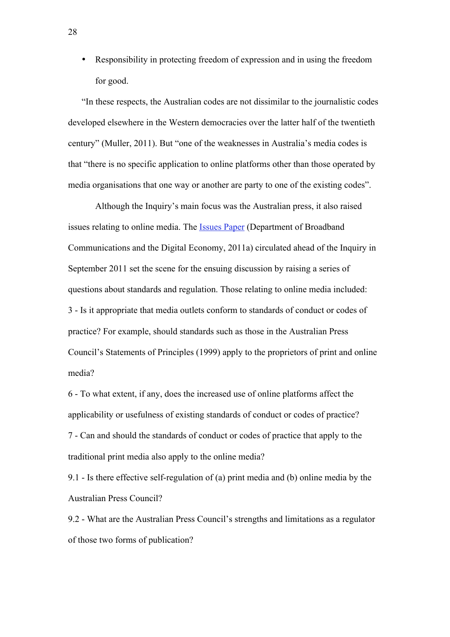• Responsibility in protecting freedom of expression and in using the freedom for good.

"In these respects, the Australian codes are not dissimilar to the journalistic codes developed elsewhere in the Western democracies over the latter half of the twentieth century" (Muller, 2011). But "one of the weaknesses in Australia's media codes is that "there is no specific application to online platforms other than those operated by media organisations that one way or another are party to one of the existing codes".

Although the Inquiry's main focus was the Australian press, it also raised issues relating to online media. The Issues Paper (Department of Broadband Communications and the Digital Economy, 2011a) circulated ahead of the Inquiry in September 2011 set the scene for the ensuing discussion by raising a series of questions about standards and regulation. Those relating to online media included: 3 - Is it appropriate that media outlets conform to standards of conduct or codes of practice? For example, should standards such as those in the Australian Press Council's Statements of Principles (1999) apply to the proprietors of print and online media?

6 - To what extent, if any, does the increased use of online platforms affect the applicability or usefulness of existing standards of conduct or codes of practice? 7 - Can and should the standards of conduct or codes of practice that apply to the traditional print media also apply to the online media?

9.1 - Is there effective self-regulation of (a) print media and (b) online media by the Australian Press Council?

9.2 - What are the Australian Press Council's strengths and limitations as a regulator of those two forms of publication?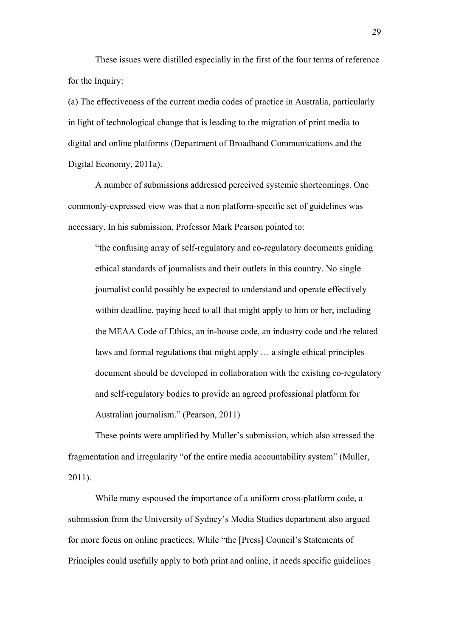These issues were distilled especially in the first of the four terms of reference for the Inquiry:

(a) The effectiveness of the current media codes of practice in Australia, particularly in light of technological change that is leading to the migration of print media to digital and online platforms (Department of Broadband Communications and the Digital Economy, 2011a).

A number of submissions addressed perceived systemic shortcomings. One commonly-expressed view was that a non platform-specific set of guidelines was necessary. In his submission, Professor Mark Pearson pointed to:

"the confusing array of self-regulatory and co-regulatory documents guiding ethical standards of journalists and their outlets in this country. No single journalist could possibly be expected to understand and operate effectively within deadline, paying heed to all that might apply to him or her, including the MEAA Code of Ethics, an in-house code, an industry code and the related laws and formal regulations that might apply … a single ethical principles document should be developed in collaboration with the existing co-regulatory and self-regulatory bodies to provide an agreed professional platform for Australian journalism." (Pearson, 2011)

These points were amplified by Muller's submission, which also stressed the fragmentation and irregularity "of the entire media accountability system" (Muller, 2011).

While many espoused the importance of a uniform cross-platform code, a submission from the University of Sydney's Media Studies department also argued for more focus on online practices. While "the [Press] Council's Statements of Principles could usefully apply to both print and online, it needs specific guidelines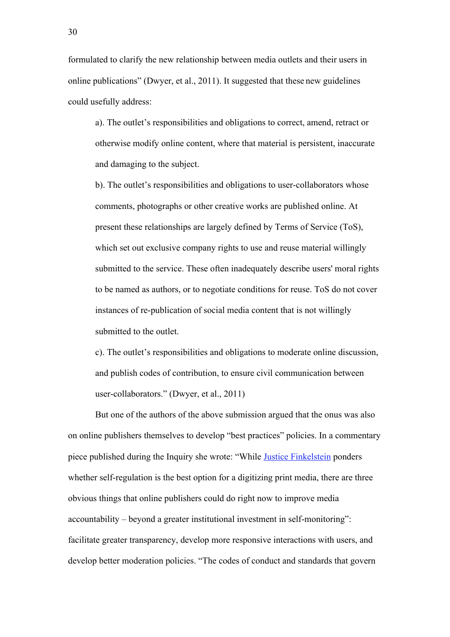formulated to clarify the new relationship between media outlets and their users in online publications" (Dwyer, et al., 2011). It suggested that these new guidelines could usefully address:

a). The outlet's responsibilities and obligations to correct, amend, retract or otherwise modify online content, where that material is persistent, inaccurate and damaging to the subject.

b). The outlet's responsibilities and obligations to user-collaborators whose comments, photographs or other creative works are published online. At present these relationships are largely defined by Terms of Service (ToS), which set out exclusive company rights to use and reuse material willingly submitted to the service. These often inadequately describe users' moral rights to be named as authors, or to negotiate conditions for reuse. ToS do not cover instances of re-publication of social media content that is not willingly submitted to the outlet.

c). The outlet's responsibilities and obligations to moderate online discussion, and publish codes of contribution, to ensure civil communication between user-collaborators." (Dwyer, et al., 2011)

But one of the authors of the above submission argued that the onus was also on online publishers themselves to develop "best practices" policies. In a commentary piece published during the Inquiry she wrote: "While Justice Finkelstein ponders whether self-regulation is the best option for a digitizing print media, there are three obvious things that online publishers could do right now to improve media accountability – beyond a greater institutional investment in self-monitoring": facilitate greater transparency, develop more responsive interactions with users, and develop better moderation policies. "The codes of conduct and standards that govern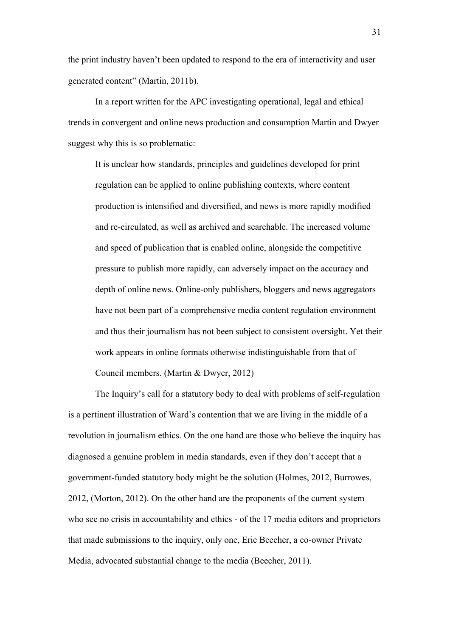the print industry haven't been updated to respond to the era of interactivity and user generated content" (Martin, 2011b).

In a report written for the APC investigating operational, legal and ethical trends in convergent and online news production and consumption Martin and Dwyer suggest why this is so problematic:

It is unclear how standards, principles and guidelines developed for print regulation can be applied to online publishing contexts, where content production is intensified and diversified, and news is more rapidly modified and re-circulated, as well as archived and searchable. The increased volume and speed of publication that is enabled online, alongside the competitive pressure to publish more rapidly, can adversely impact on the accuracy and depth of online news. Online-only publishers, bloggers and news aggregators have not been part of a comprehensive media content regulation environment and thus their journalism has not been subject to consistent oversight. Yet their work appears in online formats otherwise indistinguishable from that of Council members. (Martin & Dwyer, 2012)

The Inquiry's call for a statutory body to deal with problems of self-regulation is a pertinent illustration of Ward's contention that we are living in the middle of a revolution in journalism ethics. On the one hand are those who believe the inquiry has diagnosed a genuine problem in media standards, even if they don't accept that a government-funded statutory body might be the solution (Holmes, 2012, Burrowes, 2012, (Morton, 2012). On the other hand are the proponents of the current system who see no crisis in accountability and ethics - of the 17 media editors and proprietors that made submissions to the inquiry, only one, Eric Beecher, a co-owner Private Media, advocated substantial change to the media (Beecher, 2011).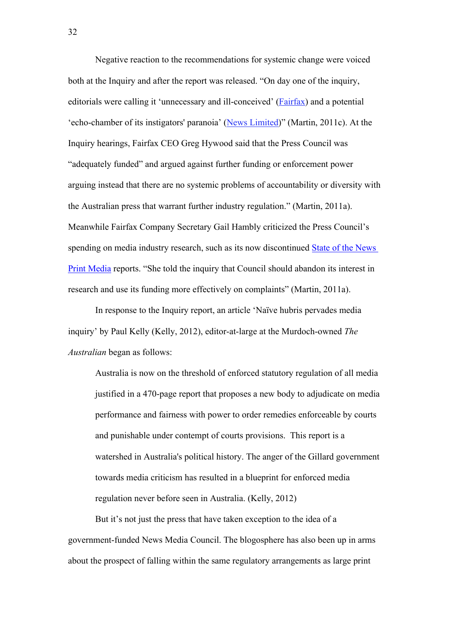Negative reaction to the recommendations for systemic change were voiced both at the Inquiry and after the report was released. "On day one of the inquiry, editorials were calling it 'unnecessary and ill-conceived' (Fairfax) and a potential 'echo-chamber of its instigators' paranoia' (News Limited)" (Martin, 2011c). At the Inquiry hearings, Fairfax CEO Greg Hywood said that the Press Council was "adequately funded" and argued against further funding or enforcement power arguing instead that there are no systemic problems of accountability or diversity with the Australian press that warrant further industry regulation." (Martin, 2011a). Meanwhile Fairfax Company Secretary Gail Hambly criticized the Press Council's spending on media industry research, such as its now discontinued State of the News Print Media reports. "She told the inquiry that Council should abandon its interest in research and use its funding more effectively on complaints" (Martin, 2011a).

In response to the Inquiry report, an article 'Naïve hubris pervades media inquiry' by Paul Kelly (Kelly, 2012), editor-at-large at the Murdoch-owned *The Australian* began as follows:

Australia is now on the threshold of enforced statutory regulation of all media justified in a 470-page report that proposes a new body to adjudicate on media performance and fairness with power to order remedies enforceable by courts and punishable under contempt of courts provisions. This report is a watershed in Australia's political history. The anger of the Gillard government towards media criticism has resulted in a blueprint for enforced media regulation never before seen in Australia. (Kelly, 2012)

But it's not just the press that have taken exception to the idea of a government-funded News Media Council. The blogosphere has also been up in arms about the prospect of falling within the same regulatory arrangements as large print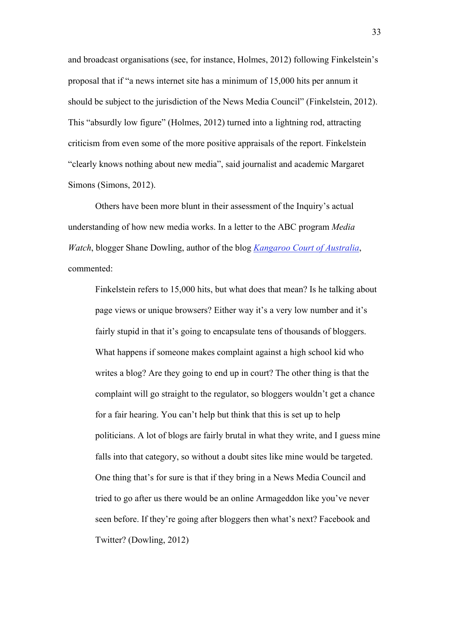and broadcast organisations (see, for instance, Holmes, 2012) following Finkelstein's proposal that if "a news internet site has a minimum of 15,000 hits per annum it should be subject to the jurisdiction of the News Media Council" (Finkelstein, 2012). This "absurdly low figure" (Holmes, 2012) turned into a lightning rod, attracting criticism from even some of the more positive appraisals of the report. Finkelstein "clearly knows nothing about new media", said journalist and academic Margaret Simons (Simons, 2012).

Others have been more blunt in their assessment of the Inquiry's actual understanding of how new media works. In a letter to the ABC program *Media Watch*, blogger Shane Dowling, author of the blog *Kangaroo Court of Australia*, commented:

Finkelstein refers to 15,000 hits, but what does that mean? Is he talking about page views or unique browsers? Either way it's a very low number and it's fairly stupid in that it's going to encapsulate tens of thousands of bloggers. What happens if someone makes complaint against a high school kid who writes a blog? Are they going to end up in court? The other thing is that the complaint will go straight to the regulator, so bloggers wouldn't get a chance for a fair hearing. You can't help but think that this is set up to help politicians. A lot of blogs are fairly brutal in what they write, and I guess mine falls into that category, so without a doubt sites like mine would be targeted. One thing that's for sure is that if they bring in a News Media Council and tried to go after us there would be an online Armageddon like you've never seen before. If they're going after bloggers then what's next? Facebook and Twitter? (Dowling, 2012)

33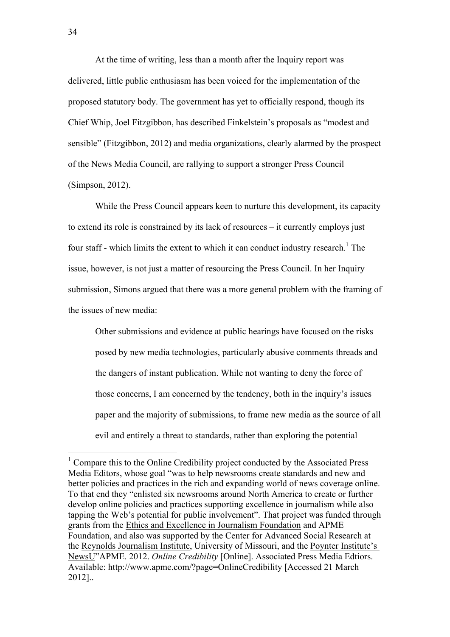At the time of writing, less than a month after the Inquiry report was delivered, little public enthusiasm has been voiced for the implementation of the proposed statutory body. The government has yet to officially respond, though its Chief Whip, Joel Fitzgibbon, has described Finkelstein's proposals as "modest and sensible" (Fitzgibbon, 2012) and media organizations, clearly alarmed by the prospect of the News Media Council, are rallying to support a stronger Press Council (Simpson, 2012).

While the Press Council appears keen to nurture this development, its capacity to extend its role is constrained by its lack of resources – it currently employs just four staff - which limits the extent to which it can conduct industry research.<sup>1</sup> The issue, however, is not just a matter of resourcing the Press Council. In her Inquiry submission, Simons argued that there was a more general problem with the framing of the issues of new media:

Other submissions and evidence at public hearings have focused on the risks posed by new media technologies, particularly abusive comments threads and the dangers of instant publication. While not wanting to deny the force of those concerns, I am concerned by the tendency, both in the inquiry's issues paper and the majority of submissions, to frame new media as the source of all evil and entirely a threat to standards, rather than exploring the potential

 $<sup>1</sup>$  Compare this to the Online Credibility project conducted by the Associated Press</sup> Media Editors, whose goal "was to help newsrooms create standards and new and better policies and practices in the rich and expanding world of news coverage online. To that end they "enlisted six newsrooms around North America to create or further develop online policies and practices supporting excellence in journalism while also tapping the Web's potential for public involvement". That project was funded through grants from the Ethics and Excellence in Journalism Foundation and APME Foundation, and also was supported by the Center for Advanced Social Research at the Reynolds Journalism Institute, University of Missouri, and the Poynter Institute's NewsU"APME. 2012. *Online Credibility* [Online]. Associated Press Media Edtiors. Available: http://www.apme.com/?page=OnlineCredibility [Accessed 21 March 2012]..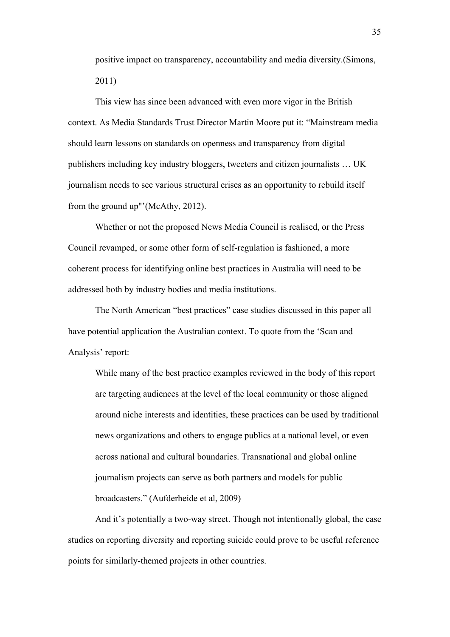positive impact on transparency, accountability and media diversity.(Simons, 2011)

This view has since been advanced with even more vigor in the British context. As Media Standards Trust Director Martin Moore put it: "Mainstream media should learn lessons on standards on openness and transparency from digital publishers including key industry bloggers, tweeters and citizen journalists … UK journalism needs to see various structural crises as an opportunity to rebuild itself from the ground up"'(McAthy, 2012).

Whether or not the proposed News Media Council is realised, or the Press Council revamped, or some other form of self-regulation is fashioned, a more coherent process for identifying online best practices in Australia will need to be addressed both by industry bodies and media institutions.

The North American "best practices" case studies discussed in this paper all have potential application the Australian context. To quote from the 'Scan and Analysis' report:

While many of the best practice examples reviewed in the body of this report are targeting audiences at the level of the local community or those aligned around niche interests and identities, these practices can be used by traditional news organizations and others to engage publics at a national level, or even across national and cultural boundaries. Transnational and global online journalism projects can serve as both partners and models for public broadcasters." (Aufderheide et al, 2009)

And it's potentially a two-way street. Though not intentionally global, the case studies on reporting diversity and reporting suicide could prove to be useful reference points for similarly-themed projects in other countries.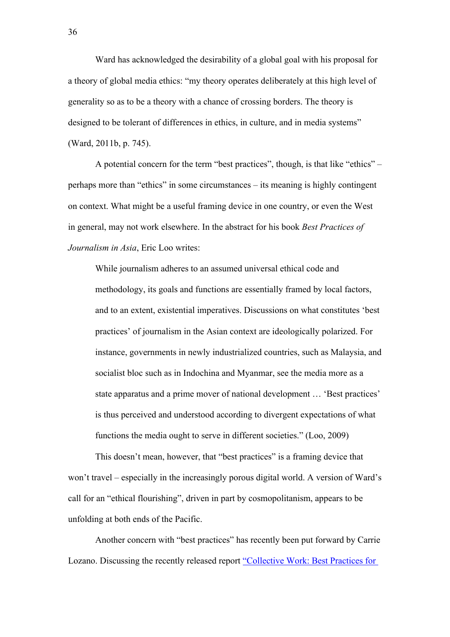Ward has acknowledged the desirability of a global goal with his proposal for a theory of global media ethics: "my theory operates deliberately at this high level of generality so as to be a theory with a chance of crossing borders. The theory is designed to be tolerant of differences in ethics, in culture, and in media systems" (Ward, 2011b, p. 745).

A potential concern for the term "best practices", though, is that like "ethics" – perhaps more than "ethics" in some circumstances – its meaning is highly contingent on context. What might be a useful framing device in one country, or even the West in general, may not work elsewhere. In the abstract for his book *Best Practices of Journalism in Asia*, Eric Loo writes:

While journalism adheres to an assumed universal ethical code and methodology, its goals and functions are essentially framed by local factors, and to an extent, existential imperatives. Discussions on what constitutes 'best practices' of journalism in the Asian context are ideologically polarized. For instance, governments in newly industrialized countries, such as Malaysia, and socialist bloc such as in Indochina and Myanmar, see the media more as a state apparatus and a prime mover of national development … 'Best practices' is thus perceived and understood according to divergent expectations of what functions the media ought to serve in different societies." (Loo, 2009)

This doesn't mean, however, that "best practices" is a framing device that won't travel – especially in the increasingly porous digital world. A version of Ward's call for an "ethical flourishing", driven in part by cosmopolitanism, appears to be unfolding at both ends of the Pacific.

Another concern with "best practices" has recently been put forward by Carrie Lozano. Discussing the recently released report "Collective Work: Best Practices for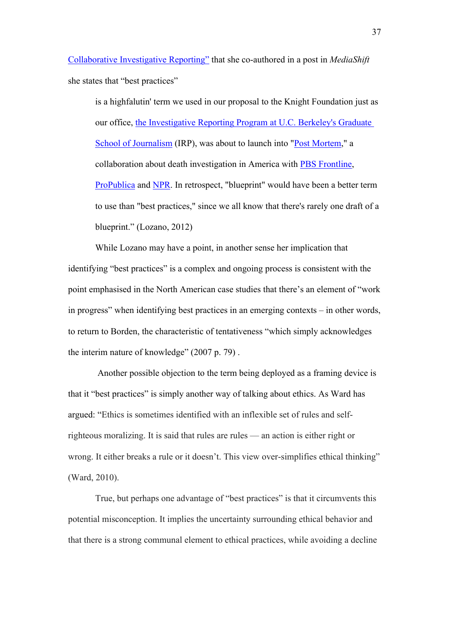Collaborative Investigative Reporting" that she co-authored in a post in *MediaShift* she states that "best practices"

is a highfalutin' term we used in our proposal to the Knight Foundation just as our office, the Investigative Reporting Program at U.C. Berkeley's Graduate School of Journalism (IRP), was about to launch into "Post Mortem," a collaboration about death investigation in America with PBS Frontline, ProPublica and NPR. In retrospect, "blueprint" would have been a better term to use than "best practices," since we all know that there's rarely one draft of a blueprint." (Lozano, 2012)

While Lozano may have a point, in another sense her implication that identifying "best practices" is a complex and ongoing process is consistent with the point emphasised in the North American case studies that there's an element of "work in progress" when identifying best practices in an emerging contexts – in other words, to return to Borden, the characteristic of tentativeness "which simply acknowledges the interim nature of knowledge" (2007 p. 79) .

Another possible objection to the term being deployed as a framing device is that it "best practices" is simply another way of talking about ethics. As Ward has argued: "Ethics is sometimes identified with an inflexible set of rules and selfrighteous moralizing. It is said that rules are rules — an action is either right or wrong. It either breaks a rule or it doesn't. This view over-simplifies ethical thinking" (Ward, 2010).

True, but perhaps one advantage of "best practices" is that it circumvents this potential misconception. It implies the uncertainty surrounding ethical behavior and that there is a strong communal element to ethical practices, while avoiding a decline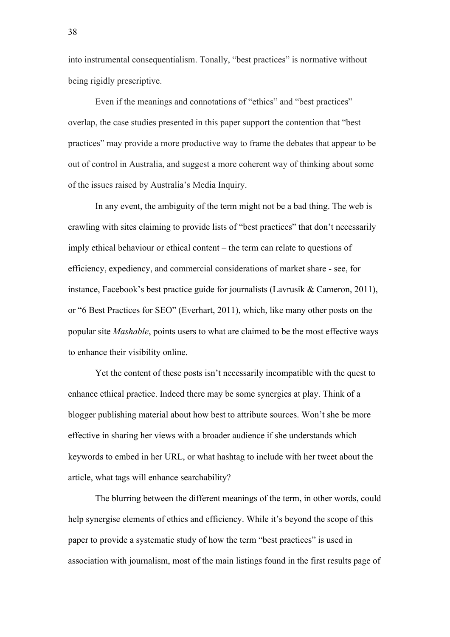into instrumental consequentialism. Tonally, "best practices" is normative without being rigidly prescriptive.

Even if the meanings and connotations of "ethics" and "best practices" overlap, the case studies presented in this paper support the contention that "best practices" may provide a more productive way to frame the debates that appear to be out of control in Australia, and suggest a more coherent way of thinking about some of the issues raised by Australia's Media Inquiry.

In any event, the ambiguity of the term might not be a bad thing. The web is crawling with sites claiming to provide lists of "best practices" that don't necessarily imply ethical behaviour or ethical content – the term can relate to questions of efficiency, expediency, and commercial considerations of market share - see, for instance, Facebook's best practice guide for journalists (Lavrusik & Cameron, 2011), or "6 Best Practices for SEO" (Everhart, 2011), which, like many other posts on the popular site *Mashable*, points users to what are claimed to be the most effective ways to enhance their visibility online.

Yet the content of these posts isn't necessarily incompatible with the quest to enhance ethical practice. Indeed there may be some synergies at play. Think of a blogger publishing material about how best to attribute sources. Won't she be more effective in sharing her views with a broader audience if she understands which keywords to embed in her URL, or what hashtag to include with her tweet about the article, what tags will enhance searchability?

The blurring between the different meanings of the term, in other words, could help synergise elements of ethics and efficiency. While it's beyond the scope of this paper to provide a systematic study of how the term "best practices" is used in association with journalism, most of the main listings found in the first results page of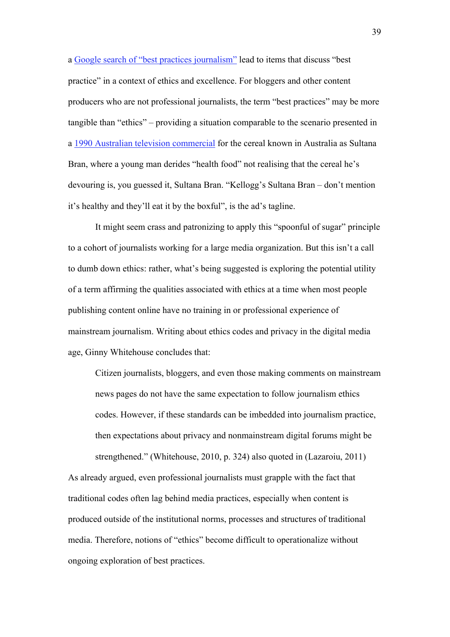a Google search of "best practices journalism" lead to items that discuss "best practice" in a context of ethics and excellence. For bloggers and other content producers who are not professional journalists, the term "best practices" may be more tangible than "ethics" – providing a situation comparable to the scenario presented in a 1990 Australian television commercial for the cereal known in Australia as Sultana Bran, where a young man derides "health food" not realising that the cereal he's devouring is, you guessed it, Sultana Bran. "Kellogg's Sultana Bran – don't mention it's healthy and they'll eat it by the boxful", is the ad's tagline.

It might seem crass and patronizing to apply this "spoonful of sugar" principle to a cohort of journalists working for a large media organization. But this isn't a call to dumb down ethics: rather, what's being suggested is exploring the potential utility of a term affirming the qualities associated with ethics at a time when most people publishing content online have no training in or professional experience of mainstream journalism. Writing about ethics codes and privacy in the digital media age, Ginny Whitehouse concludes that:

Citizen journalists, bloggers, and even those making comments on mainstream news pages do not have the same expectation to follow journalism ethics codes. However, if these standards can be imbedded into journalism practice, then expectations about privacy and nonmainstream digital forums might be strengthened." (Whitehouse, 2010, p. 324) also quoted in (Lazaroiu, 2011)

As already argued, even professional journalists must grapple with the fact that traditional codes often lag behind media practices, especially when content is produced outside of the institutional norms, processes and structures of traditional media. Therefore, notions of "ethics" become difficult to operationalize without ongoing exploration of best practices.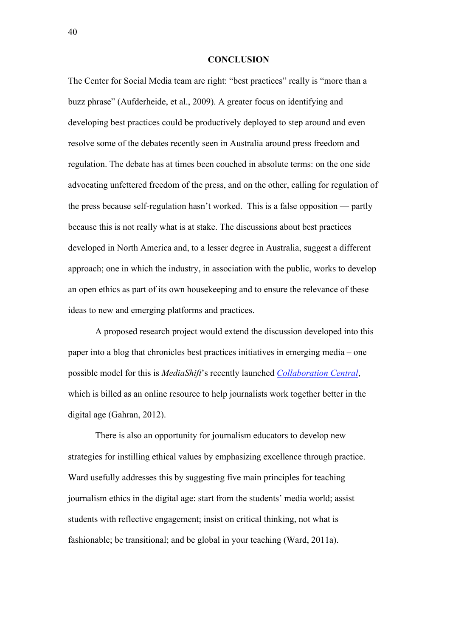#### **CONCLUSION**

The Center for Social Media team are right: "best practices" really is "more than a buzz phrase" (Aufderheide, et al., 2009). A greater focus on identifying and developing best practices could be productively deployed to step around and even resolve some of the debates recently seen in Australia around press freedom and regulation. The debate has at times been couched in absolute terms: on the one side advocating unfettered freedom of the press, and on the other, calling for regulation of the press because self-regulation hasn't worked. This is a false opposition — partly because this is not really what is at stake. The discussions about best practices developed in North America and, to a lesser degree in Australia, suggest a different approach; one in which the industry, in association with the public, works to develop an open ethics as part of its own housekeeping and to ensure the relevance of these ideas to new and emerging platforms and practices.

A proposed research project would extend the discussion developed into this paper into a blog that chronicles best practices initiatives in emerging media – one possible model for this is *MediaShift*'s recently launched *Collaboration Central*, which is billed as an online resource to help journalists work together better in the digital age (Gahran, 2012).

There is also an opportunity for journalism educators to develop new strategies for instilling ethical values by emphasizing excellence through practice. Ward usefully addresses this by suggesting five main principles for teaching journalism ethics in the digital age: start from the students' media world; assist students with reflective engagement; insist on critical thinking, not what is fashionable; be transitional; and be global in your teaching (Ward, 2011a).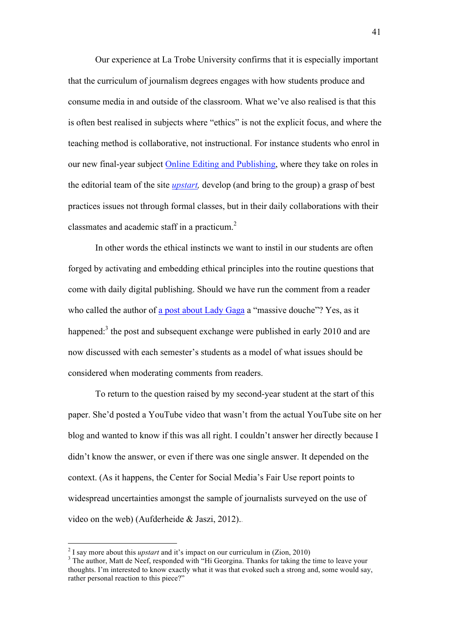Our experience at La Trobe University confirms that it is especially important that the curriculum of journalism degrees engages with how students produce and consume media in and outside of the classroom. What we've also realised is that this is often best realised in subjects where "ethics" is not the explicit focus, and where the teaching method is collaborative, not instructional. For instance students who enrol in our new final-year subject Online Editing and Publishing, where they take on roles in the editorial team of the site *upstart,* develop (and bring to the group) a grasp of best practices issues not through formal classes, but in their daily collaborations with their classmates and academic staff in a practicum. 2

In other words the ethical instincts we want to instil in our students are often forged by activating and embedding ethical principles into the routine questions that come with daily digital publishing. Should we have run the comment from a reader who called the author of a post about Lady Gaga a "massive douche"? Yes, as it happened: $3$  the post and subsequent exchange were published in early 2010 and are now discussed with each semester's students as a model of what issues should be considered when moderating comments from readers.

To return to the question raised by my second-year student at the start of this paper. She'd posted a YouTube video that wasn't from the actual YouTube site on her blog and wanted to know if this was all right. I couldn't answer her directly because I didn't know the answer, or even if there was one single answer. It depended on the context. (As it happens, the Center for Social Media's Fair Use report points to widespread uncertainties amongst the sample of journalists surveyed on the use of video on the web) (Aufderheide & Jaszi, 2012)..

 $\frac{1}{2}$ <sup>2</sup> I say more about this *upstart* and it's impact on our curriculum in  $(Z \text{ion}, 2010)$ 

<sup>&</sup>lt;sup>3</sup> The author, Matt de Neef, responded with "Hi Georgina. Thanks for taking the time to leave your thoughts. I'm interested to know exactly what it was that evoked such a strong and, some would say, rather personal reaction to this piece?"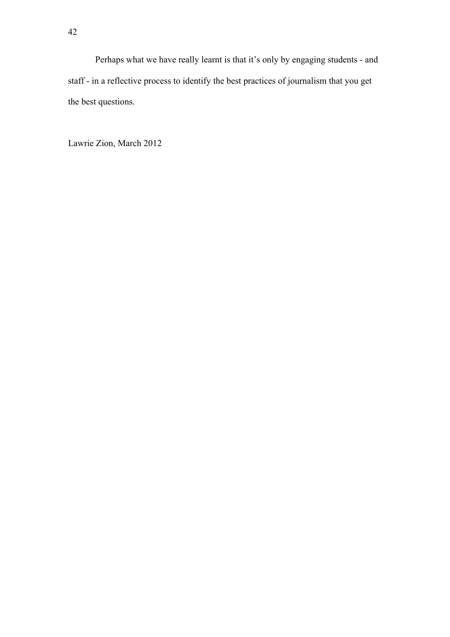Perhaps what we have really learnt is that it's only by engaging students - and staff - in a reflective process to identify the best practices of journalism that you get the best questions.

Lawrie Zion, March 2012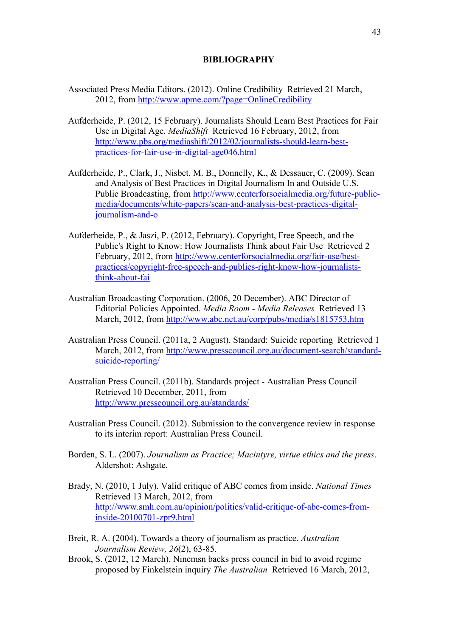### **BIBLIOGRAPHY**

- Associated Press Media Editors. (2012). Online Credibility Retrieved 21 March, 2012, from http://www.apme.com/?page=OnlineCredibility
- Aufderheide, P. (2012, 15 February). Journalists Should Learn Best Practices for Fair Use in Digital Age. *MediaShift* Retrieved 16 February, 2012, from http://www.pbs.org/mediashift/2012/02/journalists-should-learn-bestpractices-for-fair-use-in-digital-age046.html
- Aufderheide, P., Clark, J., Nisbet, M. B., Donnelly, K., & Dessauer, C. (2009). Scan and Analysis of Best Practices in Digital Journalism In and Outside U.S. Public Broadcasting, from http://www.centerforsocialmedia.org/future-publicmedia/documents/white-papers/scan-and-analysis-best-practices-digitaljournalism-and-o
- Aufderheide, P., & Jaszi, P. (2012, February). Copyright, Free Speech, and the Public's Right to Know: How Journalists Think about Fair Use Retrieved 2 February, 2012, from http://www.centerforsocialmedia.org/fair-use/bestpractices/copyright-free-speech-and-publics-right-know-how-journaliststhink-about-fai
- Australian Broadcasting Corporation. (2006, 20 December). ABC Director of Editorial Policies Appointed. *Media Room - Media Releases* Retrieved 13 March, 2012, from http://www.abc.net.au/corp/pubs/media/s1815753.htm
- Australian Press Council. (2011a, 2 August). Standard: Suicide reporting Retrieved 1 March, 2012, from http://www.presscouncil.org.au/document-search/standardsuicide-reporting/
- Australian Press Council. (2011b). Standards project Australian Press Council Retrieved 10 December, 2011, from http://www.presscouncil.org.au/standards/
- Australian Press Council. (2012). Submission to the convergence review in response to its interim report: Australian Press Council.
- Borden, S. L. (2007). *Journalism as Practice; Macintyre, virtue ethics and the press*. Aldershot: Ashgate.
- Brady, N. (2010, 1 July). Valid critique of ABC comes from inside. *National Times* Retrieved 13 March, 2012, from http://www.smh.com.au/opinion/politics/valid-critique-of-abc-comes-frominside-20100701-zpr9.html
- Breit, R. A. (2004). Towards a theory of journalism as practice. *Australian Journalism Review, 26*(2), 63-85.
- Brook, S. (2012, 12 March). Ninemsn backs press council in bid to avoid regime proposed by Finkelstein inquiry *The Australian* Retrieved 16 March, 2012,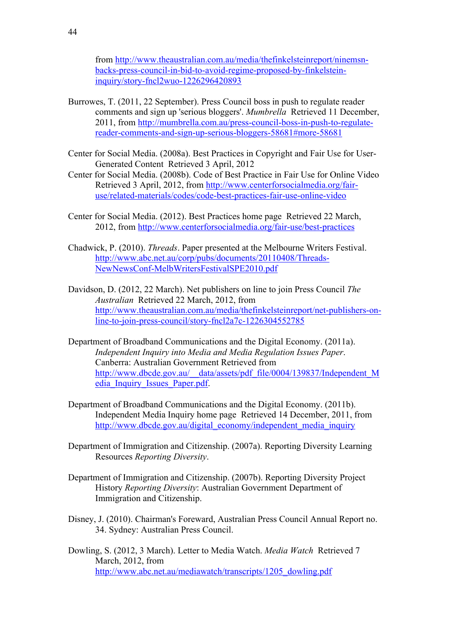from http://www.theaustralian.com.au/media/thefinkelsteinreport/ninemsnbacks-press-council-in-bid-to-avoid-regime-proposed-by-finkelsteininquiry/story-fncl2wuo-1226296420893

- Burrowes, T. (2011, 22 September). Press Council boss in push to regulate reader comments and sign up 'serious bloggers'. *Mumbrella* Retrieved 11 December, 2011, from http://mumbrella.com.au/press-council-boss-in-push-to-regulatereader-comments-and-sign-up-serious-bloggers-58681#more-58681
- Center for Social Media. (2008a). Best Practices in Copyright and Fair Use for User-Generated Content Retrieved 3 April, 2012
- Center for Social Media. (2008b). Code of Best Practice in Fair Use for Online Video Retrieved 3 April, 2012, from http://www.centerforsocialmedia.org/fairuse/related-materials/codes/code-best-practices-fair-use-online-video
- Center for Social Media. (2012). Best Practices home page Retrieved 22 March, 2012, from http://www.centerforsocialmedia.org/fair-use/best-practices
- Chadwick, P. (2010). *Threads*. Paper presented at the Melbourne Writers Festival. http://www.abc.net.au/corp/pubs/documents/20110408/Threads-NewNewsConf-MelbWritersFestivalSPE2010.pdf
- Davidson, D. (2012, 22 March). Net publishers on line to join Press Council *The Australian* Retrieved 22 March, 2012, from http://www.theaustralian.com.au/media/thefinkelsteinreport/net-publishers-online-to-join-press-council/story-fncl2a7c-1226304552785
- Department of Broadband Communications and the Digital Economy. (2011a). *Independent Inquiry into Media and Media Regulation Issues Paper*. Canberra: Australian Government Retrieved from http://www.dbcde.gov.au/\_\_data/assets/pdf\_file/0004/139837/Independent\_M edia\_Inquiry\_Issues\_Paper.pdf.
- Department of Broadband Communications and the Digital Economy. (2011b). Independent Media Inquiry home page Retrieved 14 December, 2011, from http://www.dbcde.gov.au/digital\_economy/independent\_media\_inquiry
- Department of Immigration and Citizenship. (2007a). Reporting Diversity Learning Resources *Reporting Diversity*.
- Department of Immigration and Citizenship. (2007b). Reporting Diversity Project History *Reporting Diversity*: Australian Government Department of Immigration and Citizenship.
- Disney, J. (2010). Chairman's Foreward, Australian Press Council Annual Report no. 34. Sydney: Australian Press Council.
- Dowling, S. (2012, 3 March). Letter to Media Watch. *Media Watch* Retrieved 7 March, 2012, from http://www.abc.net.au/mediawatch/transcripts/1205\_dowling.pdf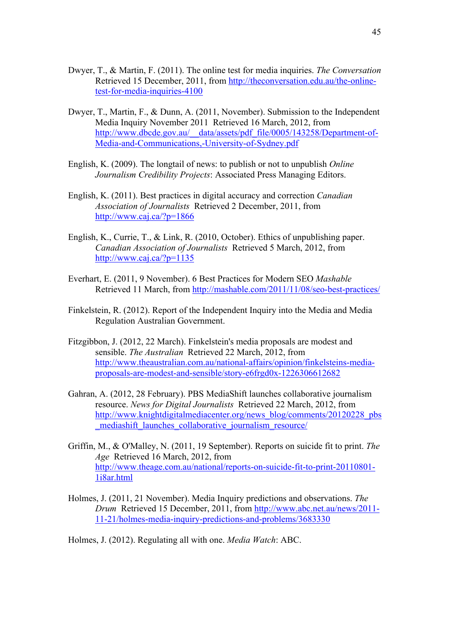- Dwyer, T., & Martin, F. (2011). The online test for media inquiries. *The Conversation* Retrieved 15 December, 2011, from http://theconversation.edu.au/the-onlinetest-for-media-inquiries-4100
- Dwyer, T., Martin, F., & Dunn, A. (2011, November). Submission to the Independent Media Inquiry November 2011 Retrieved 16 March, 2012, from http://www.dbcde.gov.au/\_\_data/assets/pdf\_file/0005/143258/Department-of-Media-and-Communications,-University-of-Sydney.pdf
- English, K. (2009). The longtail of news: to publish or not to unpublish *Online Journalism Credibility Projects*: Associated Press Managing Editors.
- English, K. (2011). Best practices in digital accuracy and correction *Canadian Association of Journalists* Retrieved 2 December, 2011, from http://www.caj.ca/?p=1866
- English, K., Currie, T., & Link, R. (2010, October). Ethics of unpublishing paper. *Canadian Association of Journalists* Retrieved 5 March, 2012, from  $http://www.cai.ca/?p=1135$
- Everhart, E. (2011, 9 November). 6 Best Practices for Modern SEO *Mashable* Retrieved 11 March, from http://mashable.com/2011/11/08/seo-best-practices/
- Finkelstein, R. (2012). Report of the Independent Inquiry into the Media and Media Regulation Australian Government.
- Fitzgibbon, J. (2012, 22 March). Finkelstein's media proposals are modest and sensible. *The Australian* Retrieved 22 March, 2012, from http://www.theaustralian.com.au/national-affairs/opinion/finkelsteins-mediaproposals-are-modest-and-sensible/story-e6frgd0x-1226306612682
- Gahran, A. (2012, 28 February). PBS MediaShift launches collaborative journalism resource. *News for Digital Journalists* Retrieved 22 March, 2012, from http://www.knightdigitalmediacenter.org/news\_blog/comments/20120228\_pbs \_mediashift\_launches\_collaborative\_journalism\_resource/
- Griffin, M., & O'Malley, N. (2011, 19 September). Reports on suicide fit to print. *The Age* Retrieved 16 March, 2012, from http://www.theage.com.au/national/reports-on-suicide-fit-to-print-20110801- 1i8ar.html
- Holmes, J. (2011, 21 November). Media Inquiry predictions and observations. *The Drum* Retrieved 15 December, 2011, from http://www.abc.net.au/news/2011- 11-21/holmes-media-inquiry-predictions-and-problems/3683330

Holmes, J. (2012). Regulating all with one. *Media Watch*: ABC.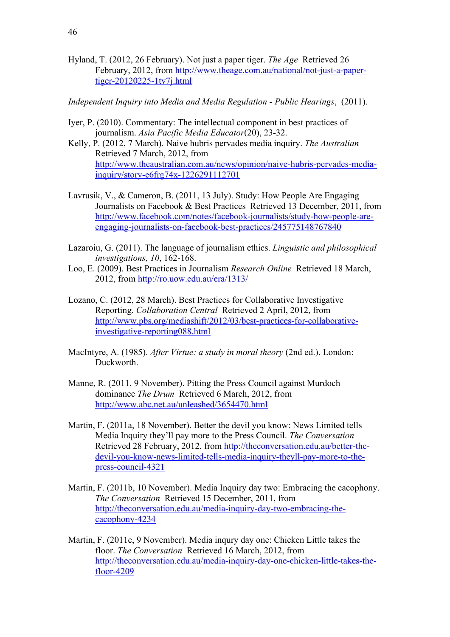Hyland, T. (2012, 26 February). Not just a paper tiger. *The Age* Retrieved 26 February, 2012, from http://www.theage.com.au/national/not-just-a-papertiger-20120225-1tv7j.html

*Independent Inquiry into Media and Media Regulation - Public Hearings*, (2011).

- Iyer, P. (2010). Commentary: The intellectual component in best practices of journalism. *Asia Pacific Media Educator*(20), 23-32.
- Kelly, P. (2012, 7 March). Naive hubris pervades media inquiry. *The Australian* Retrieved 7 March, 2012, from http://www.theaustralian.com.au/news/opinion/naive-hubris-pervades-mediainquiry/story-e6frg74x-1226291112701
- Lavrusik, V., & Cameron, B. (2011, 13 July). Study: How People Are Engaging Journalists on Facebook & Best Practices Retrieved 13 December, 2011, from http://www.facebook.com/notes/facebook-journalists/study-how-people-areengaging-journalists-on-facebook-best-practices/245775148767840
- Lazaroiu, G. (2011). The language of journalism ethics. *Linguistic and philosophical investigations, 10*, 162-168.
- Loo, E. (2009). Best Practices in Journalism *Research Online* Retrieved 18 March, 2012, from http://ro.uow.edu.au/era/1313/
- Lozano, C. (2012, 28 March). Best Practices for Collaborative Investigative Reporting. *Collaboration Central* Retrieved 2 April, 2012, from http://www.pbs.org/mediashift/2012/03/best-practices-for-collaborativeinvestigative-reporting088.html
- MacIntyre, A. (1985). *After Virtue: a study in moral theory* (2nd ed.). London: Duckworth.
- Manne, R. (2011, 9 November). Pitting the Press Council against Murdoch dominance *The Drum* Retrieved 6 March, 2012, from http://www.abc.net.au/unleashed/3654470.html
- Martin, F. (2011a, 18 November). Better the devil you know: News Limited tells Media Inquiry they'll pay more to the Press Council. *The Conversation* Retrieved 28 February, 2012, from http://theconversation.edu.au/better-thedevil-you-know-news-limited-tells-media-inquiry-theyll-pay-more-to-thepress-council-4321
- Martin, F. (2011b, 10 November). Media Inquiry day two: Embracing the cacophony. *The Conversation* Retrieved 15 December, 2011, from http://theconversation.edu.au/media-inquiry-day-two-embracing-thecacophony-4234
- Martin, F. (2011c, 9 November). Media inqury day one: Chicken Little takes the floor. *The Conversation* Retrieved 16 March, 2012, from http://theconversation.edu.au/media-inquiry-day-one-chicken-little-takes-thefloor-4209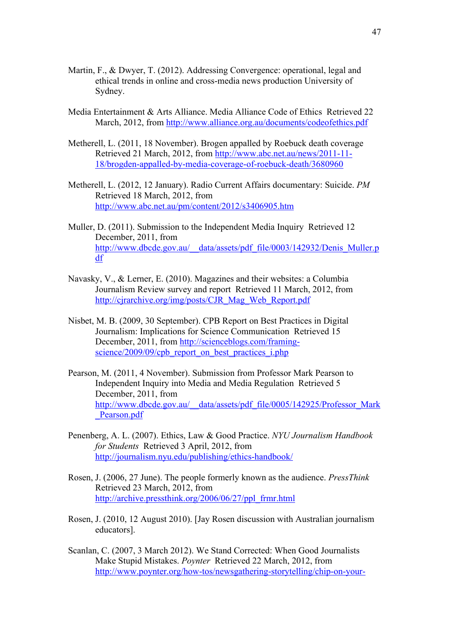- Martin, F., & Dwyer, T. (2012). Addressing Convergence: operational, legal and ethical trends in online and cross-media news production University of Sydney.
- Media Entertainment & Arts Alliance. Media Alliance Code of Ethics Retrieved 22 March, 2012, from http://www.alliance.org.au/documents/codeofethics.pdf
- Metherell, L. (2011, 18 November). Brogen appalled by Roebuck death coverage Retrieved 21 March, 2012, from http://www.abc.net.au/news/2011-11- 18/brogden-appalled-by-media-coverage-of-roebuck-death/3680960
- Metherell, L. (2012, 12 January). Radio Current Affairs documentary: Suicide. *PM* Retrieved 18 March, 2012, from http://www.abc.net.au/pm/content/2012/s3406905.htm
- Muller, D. (2011). Submission to the Independent Media Inquiry Retrieved 12 December, 2011, from http://www.dbcde.gov.au/\_\_data/assets/pdf\_file/0003/142932/Denis\_Muller.p df
- Navasky, V., & Lerner, E. (2010). Magazines and their websites: a Columbia Journalism Review survey and report Retrieved 11 March, 2012, from http://cjrarchive.org/img/posts/CJR\_Mag\_Web\_Report.pdf
- Nisbet, M. B. (2009, 30 September). CPB Report on Best Practices in Digital Journalism: Implications for Science Communication Retrieved 15 December, 2011, from http://scienceblogs.com/framingscience/2009/09/cpb\_report\_on\_best\_practices\_i.php
- Pearson, M. (2011, 4 November). Submission from Professor Mark Pearson to Independent Inquiry into Media and Media Regulation Retrieved 5 December, 2011, from http://www.dbcde.gov.au/\_\_data/assets/pdf\_file/0005/142925/Professor\_Mark \_Pearson.pdf
- Penenberg, A. L. (2007). Ethics, Law & Good Practice. *NYU Journalism Handbook for Students* Retrieved 3 April, 2012, from http://journalism.nyu.edu/publishing/ethics-handbook/
- Rosen, J. (2006, 27 June). The people formerly known as the audience. *PressThink* Retrieved 23 March, 2012, from http://archive.pressthink.org/2006/06/27/ppl\_frmr.html
- Rosen, J. (2010, 12 August 2010). [Jay Rosen discussion with Australian journalism educators].
- Scanlan, C. (2007, 3 March 2012). We Stand Corrected: When Good Journalists Make Stupid Mistakes. *Poynter* Retrieved 22 March, 2012, from http://www.poynter.org/how-tos/newsgathering-storytelling/chip-on-your-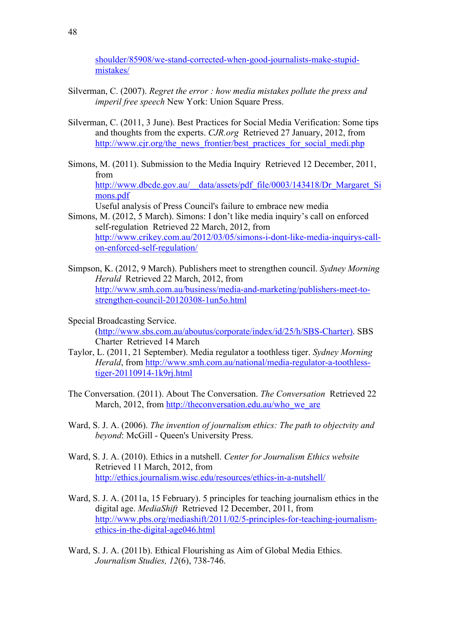shoulder/85908/we-stand-corrected-when-good-journalists-make-stupidmistakes/

- Silverman, C. (2007). *Regret the error : how media mistakes pollute the press and imperil free speech* New York: Union Square Press.
- Silverman, C. (2011, 3 June). Best Practices for Social Media Verification: Some tips and thoughts from the experts. *CJR.org* Retrieved 27 January, 2012, from http://www.cjr.org/the\_news\_frontier/best\_practices\_for\_social\_medi.php
- Simons, M. (2011). Submission to the Media Inquiry Retrieved 12 December, 2011, from http://www.dbcde.gov.au/\_\_data/assets/pdf\_file/0003/143418/Dr\_Margaret\_Si mons.pdf

Useful analysis of Press Council's failure to embrace new media

- Simons, M. (2012, 5 March). Simons: I don't like media inquiry's call on enforced self-regulation Retrieved 22 March, 2012, from http://www.crikey.com.au/2012/03/05/simons-i-dont-like-media-inquirys-callon-enforced-self-regulation/
- Simpson, K. (2012, 9 March). Publishers meet to strengthen council. *Sydney Morning Herald* Retrieved 22 March, 2012, from http://www.smh.com.au/business/media-and-marketing/publishers-meet-tostrengthen-council-20120308-1un5o.html
- Special Broadcasting Service. (http://www.sbs.com.au/aboutus/corporate/index/id/25/h/SBS-Charter). SBS Charter Retrieved 14 March
- Taylor, L. (2011, 21 September). Media regulator a toothless tiger. *Sydney Morning Herald*, from http://www.smh.com.au/national/media-regulator-a-toothlesstiger-20110914-1k9rj.html
- The Conversation. (2011). About The Conversation. *The Conversation* Retrieved 22 March, 2012, from http://theconversation.edu.au/who\_we\_are
- Ward, S. J. A. (2006). *The invention of journalism ethics: The path to objectvity and beyond*: McGill - Oueen's University Press.
- Ward, S. J. A. (2010). Ethics in a nutshell. *Center for Journalism Ethics website* Retrieved 11 March, 2012, from http://ethics.journalism.wisc.edu/resources/ethics-in-a-nutshell/
- Ward, S. J. A. (2011a, 15 February). 5 principles for teaching journalism ethics in the digital age. *MediaShift* Retrieved 12 December, 2011, from http://www.pbs.org/mediashift/2011/02/5-principles-for-teaching-journalismethics-in-the-digital-age046.html
- Ward, S. J. A. (2011b). Ethical Flourishing as Aim of Global Media Ethics. *Journalism Studies, 12*(6), 738-746.